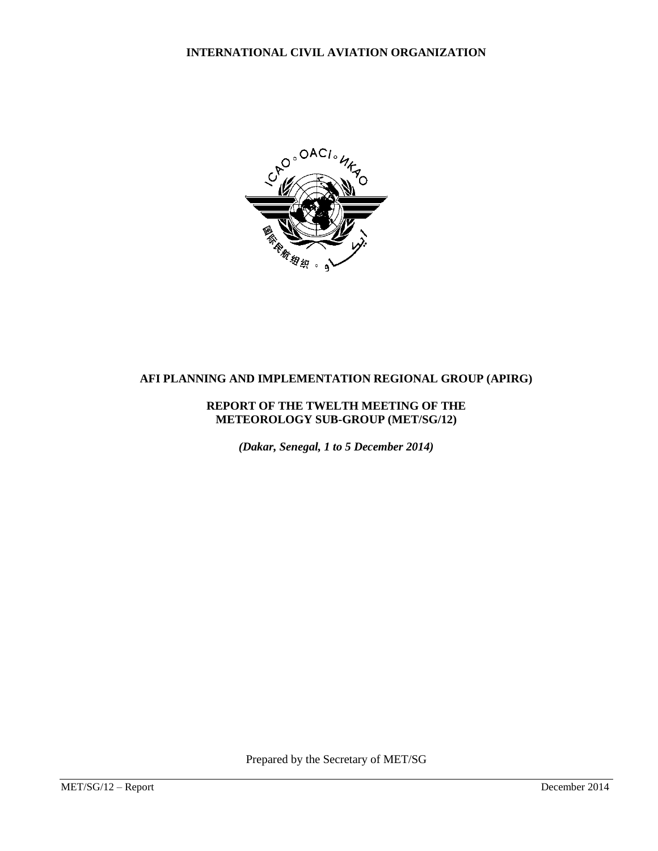**INTERNATIONAL CIVIL AVIATION ORGANIZATION**



# **AFI PLANNING AND IMPLEMENTATION REGIONAL GROUP (APIRG)**

#### **REPORT OF THE TWELTH MEETING OF THE METEOROLOGY SUB-GROUP (MET/SG/12)**

*(Dakar, Senegal, 1 to 5 December 2014)* 

Prepared by the Secretary of MET/SG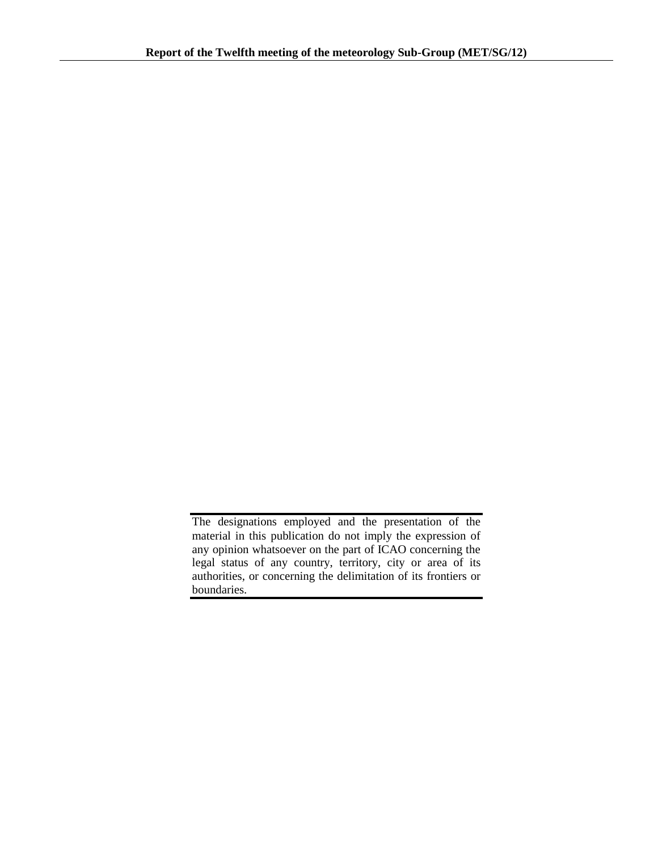The designations employed and the presentation of the material in this publication do not imply the expression of any opinion whatsoever on the part of ICAO concerning the legal status of any country, territory, city or area of its authorities, or concerning the delimitation of its frontiers or boundaries.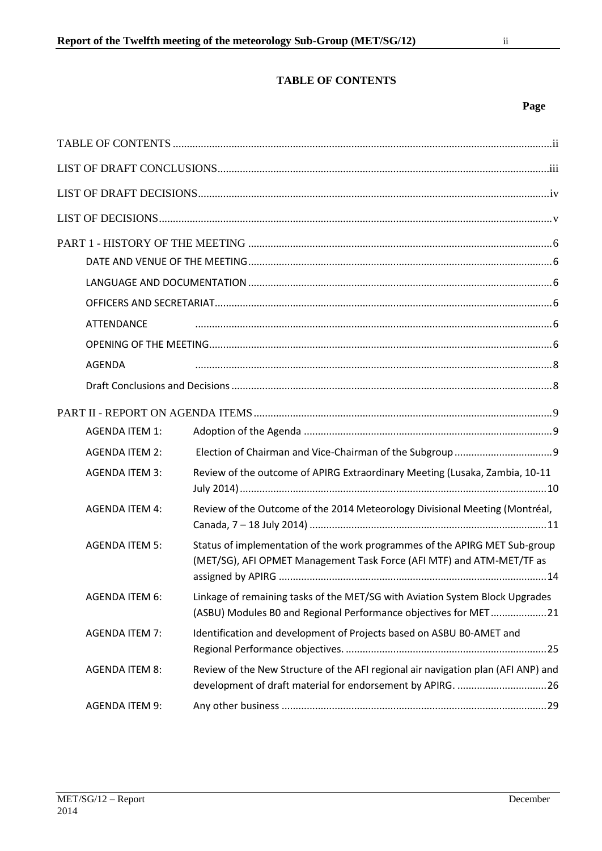# **TABLE OF CONTENTS**

### **Page**

<span id="page-2-0"></span>

| <b>ATTENDANCE</b>     |                                                                                                                                                     |  |
|-----------------------|-----------------------------------------------------------------------------------------------------------------------------------------------------|--|
|                       |                                                                                                                                                     |  |
| <b>AGENDA</b>         |                                                                                                                                                     |  |
|                       |                                                                                                                                                     |  |
|                       |                                                                                                                                                     |  |
| <b>AGENDA ITEM 1:</b> |                                                                                                                                                     |  |
| <b>AGENDA ITEM 2:</b> |                                                                                                                                                     |  |
| <b>AGENDA ITEM 3:</b> | Review of the outcome of APIRG Extraordinary Meeting (Lusaka, Zambia, 10-11                                                                         |  |
| <b>AGENDA ITEM 4:</b> | Review of the Outcome of the 2014 Meteorology Divisional Meeting (Montréal,                                                                         |  |
| <b>AGENDA ITEM 5:</b> | Status of implementation of the work programmes of the APIRG MET Sub-group<br>(MET/SG), AFI OPMET Management Task Force (AFI MTF) and ATM-MET/TF as |  |
| <b>AGENDA ITEM 6:</b> | Linkage of remaining tasks of the MET/SG with Aviation System Block Upgrades<br>(ASBU) Modules B0 and Regional Performance objectives for MET21     |  |
| <b>AGENDA ITEM 7:</b> | Identification and development of Projects based on ASBU BO-AMET and                                                                                |  |
| <b>AGENDA ITEM 8:</b> | Review of the New Structure of the AFI regional air navigation plan (AFI ANP) and<br>development of draft material for endorsement by APIRG. 26     |  |
| <b>AGENDA ITEM 9:</b> |                                                                                                                                                     |  |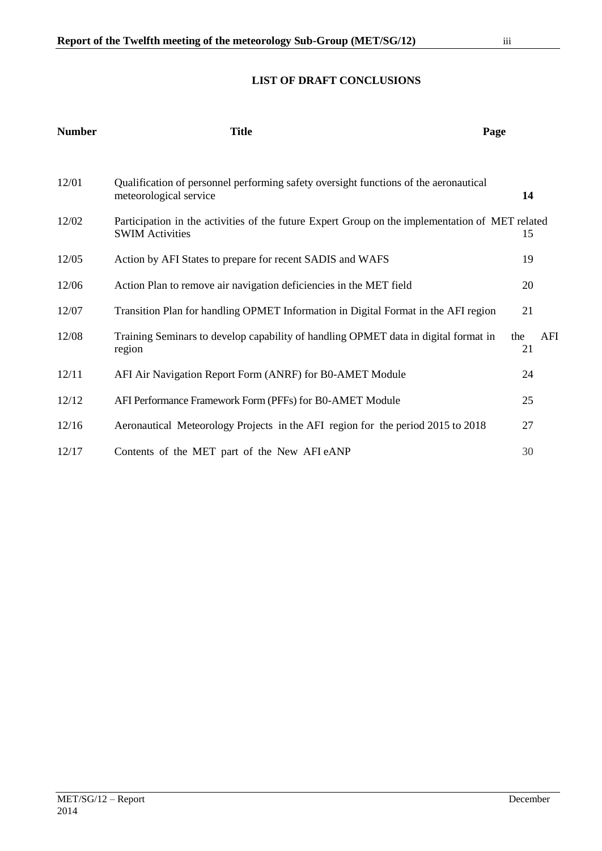# **LIST OF DRAFT CONCLUSIONS**

<span id="page-3-0"></span>

| <b>Number</b> | <b>Title</b>                                                                                                              | Page      |     |
|---------------|---------------------------------------------------------------------------------------------------------------------------|-----------|-----|
| 12/01         | Qualification of personnel performing safety oversight functions of the aeronautical<br>meteorological service            | 14        |     |
| 12/02         | Participation in the activities of the future Expert Group on the implementation of MET related<br><b>SWIM Activities</b> | 15        |     |
| 12/05         | Action by AFI States to prepare for recent SADIS and WAFS                                                                 | 19        |     |
| 12/06         | Action Plan to remove air navigation deficiencies in the MET field                                                        | 20        |     |
| 12/07         | Transition Plan for handling OPMET Information in Digital Format in the AFI region                                        | 21        |     |
| 12/08         | Training Seminars to develop capability of handling OPMET data in digital format in<br>region                             | the<br>21 | AFI |
| 12/11         | AFI Air Navigation Report Form (ANRF) for B0-AMET Module                                                                  | 24        |     |
| 12/12         | AFI Performance Framework Form (PFFs) for B0-AMET Module                                                                  | 25        |     |
| 12/16         | Aeronautical Meteorology Projects in the AFI region for the period 2015 to 2018                                           | 27        |     |
| 12/17         | Contents of the MET part of the New AFI eANP                                                                              | 30        |     |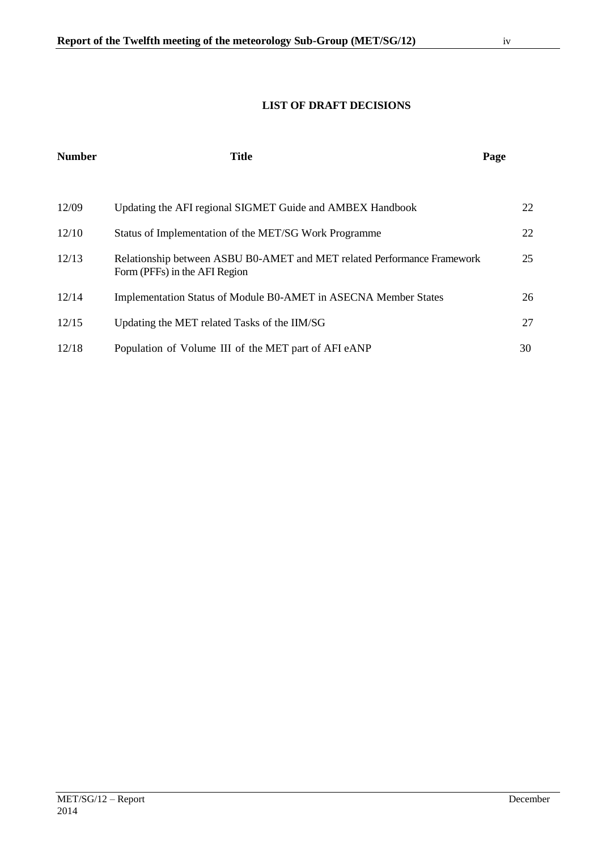<span id="page-4-0"></span>

| <b>Number</b> | <b>Title</b>                                                                                             | Page |    |
|---------------|----------------------------------------------------------------------------------------------------------|------|----|
|               |                                                                                                          |      |    |
| 12/09         | Updating the AFI regional SIGMET Guide and AMBEX Handbook                                                |      | 22 |
| 12/10         | Status of Implementation of the MET/SG Work Programme                                                    |      | 22 |
| 12/13         | Relationship between ASBU B0-AMET and MET related Performance Framework<br>Form (PFFs) in the AFI Region |      | 25 |
| 12/14         | Implementation Status of Module B0-AMET in ASECNA Member States                                          |      | 26 |
| 12/15         | Updating the MET related Tasks of the IIM/SG                                                             |      | 27 |
| 12/18         | Population of Volume III of the MET part of AFI eANP                                                     |      | 30 |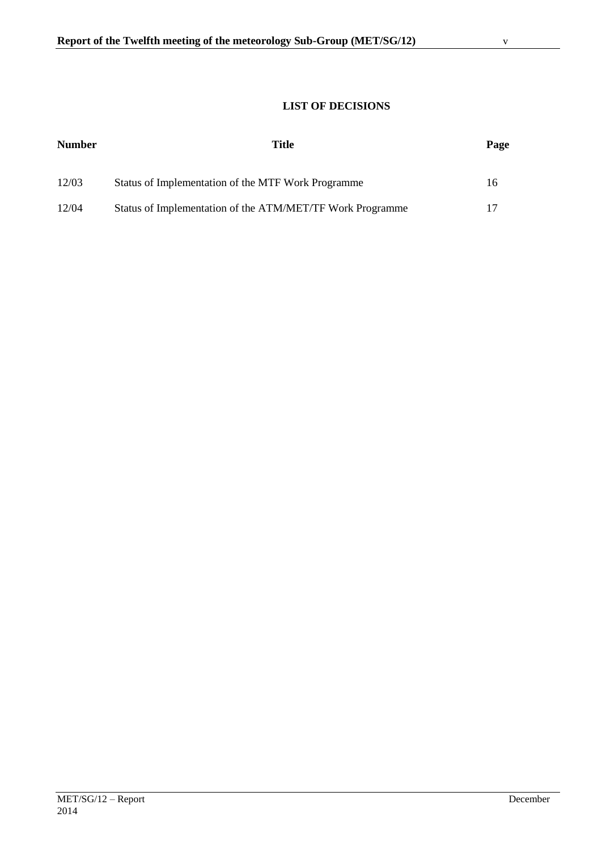# **LIST OF DECISIONS**

<span id="page-5-0"></span>

| <b>Number</b> | Title                                                     | Page |
|---------------|-----------------------------------------------------------|------|
| 12/03         | Status of Implementation of the MTF Work Programme        | 16   |
| 12/04         | Status of Implementation of the ATM/MET/TF Work Programme |      |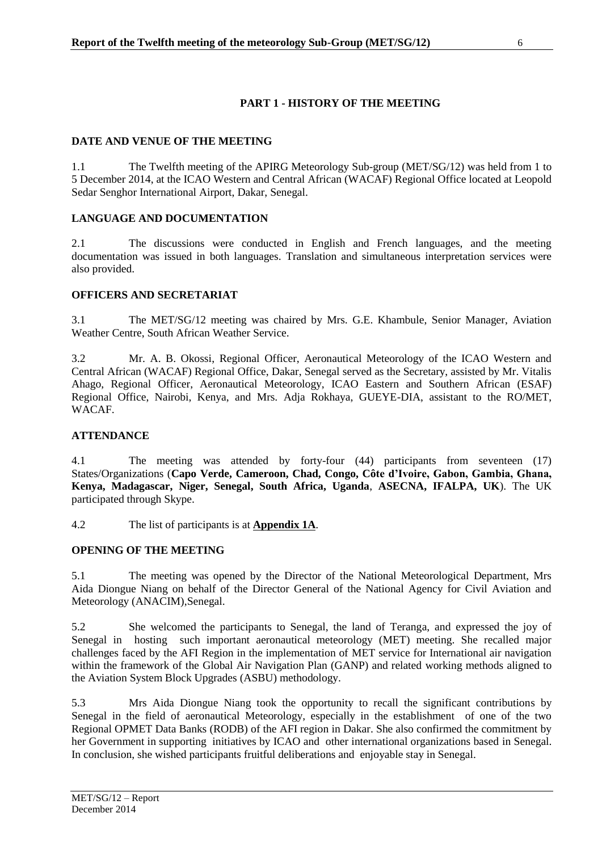# **PART 1 - HISTORY OF THE MEETING**

## <span id="page-6-1"></span><span id="page-6-0"></span>**DATE AND VENUE OF THE MEETING**

1.1 The Twelfth meeting of the APIRG Meteorology Sub-group (MET/SG/12) was held from 1 to 5 December 2014, at the ICAO Western and Central African (WACAF) Regional Office located at Leopold Sedar Senghor International Airport, Dakar, Senegal.

## <span id="page-6-2"></span>**LANGUAGE AND DOCUMENTATION**

2.1 The discussions were conducted in English and French languages, and the meeting documentation was issued in both languages. Translation and simultaneous interpretation services were also provided.

# <span id="page-6-3"></span>**OFFICERS AND SECRETARIAT**

3.1 The MET/SG/12 meeting was chaired by Mrs. G.E. Khambule, Senior Manager, Aviation Weather Centre, South African Weather Service.

3.2 Mr. A. B. Okossi, Regional Officer, Aeronautical Meteorology of the ICAO Western and Central African (WACAF) Regional Office, Dakar, Senegal served as the Secretary, assisted by Mr. Vitalis Ahago, Regional Officer, Aeronautical Meteorology, ICAO Eastern and Southern African (ESAF) Regional Office, Nairobi, Kenya, and Mrs. Adja Rokhaya, GUEYE-DIA, assistant to the RO/MET, WACAF.

## <span id="page-6-4"></span>**ATTENDANCE**

4.1 The meeting was attended by forty-four (44) participants from seventeen (17) States/Organizations (**Capo Verde, Cameroon, Chad, Congo, Côte d'Ivoire, Gabon, Gambia, Ghana, Kenya, Madagascar, Niger, Senegal, South Africa, Uganda**, **ASECNA, IFALPA, UK**). The UK participated through Skype.

4.2 The list of participants is at **Appendix 1A**.

# <span id="page-6-5"></span>**OPENING OF THE MEETING**

5.1 The meeting was opened by the Director of the National Meteorological Department, Mrs Aida Diongue Niang on behalf of the Director General of the National Agency for Civil Aviation and Meteorology (ANACIM),Senegal.

5.2 She welcomed the participants to Senegal, the land of Teranga, and expressed the joy of Senegal in hosting such important aeronautical meteorology (MET) meeting. She recalled major challenges faced by the AFI Region in the implementation of MET service for International air navigation within the framework of the Global Air Navigation Plan (GANP) and related working methods aligned to the Aviation System Block Upgrades (ASBU) methodology.

5.3 Mrs Aida Diongue Niang took the opportunity to recall the significant contributions by Senegal in the field of aeronautical Meteorology, especially in the establishment of one of the two Regional OPMET Data Banks (RODB) of the AFI region in Dakar. She also confirmed the commitment by her Government in supporting initiatives by ICAO and other international organizations based in Senegal. In conclusion, she wished participants fruitful deliberations and enjoyable stay in Senegal.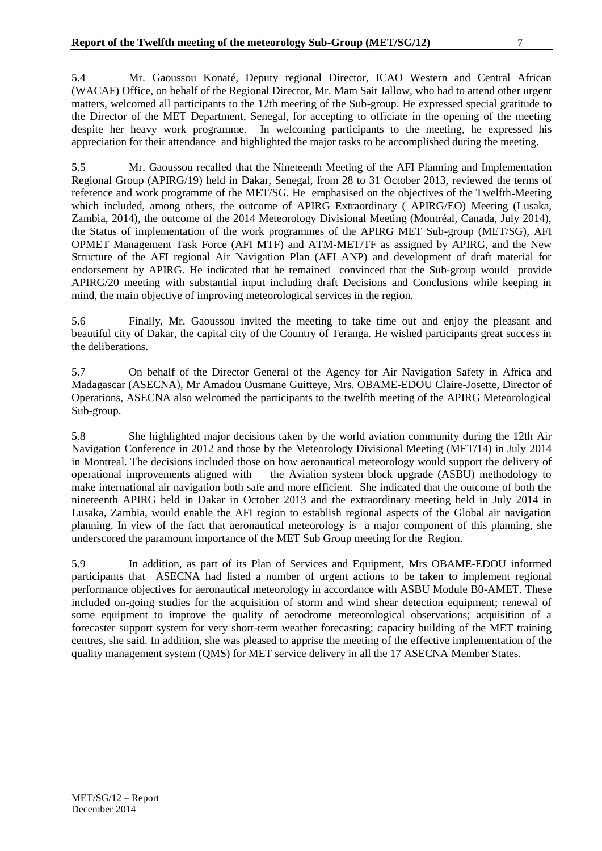5.4 Mr. Gaoussou Konaté, Deputy regional Director, ICAO Western and Central African (WACAF) Office, on behalf of the Regional Director, Mr. Mam Sait Jallow, who had to attend other urgent matters, welcomed all participants to the 12th meeting of the Sub-group. He expressed special gratitude to the Director of the MET Department, Senegal, for accepting to officiate in the opening of the meeting despite her heavy work programme. In welcoming participants to the meeting, he expressed his appreciation for their attendance and highlighted the major tasks to be accomplished during the meeting.

5.5 Mr. Gaoussou recalled that the Nineteenth Meeting of the AFI Planning and Implementation Regional Group (APIRG/19) held in Dakar, Senegal, from 28 to 31 October 2013, reviewed the terms of reference and work programme of the MET/SG. He emphasised on the objectives of the Twelfth Meeting which included, among others, the outcome of APIRG Extraordinary (APIRG/EO) Meeting (Lusaka, Zambia, 2014), the outcome of the 2014 Meteorology Divisional Meeting (Montréal, Canada, July 2014), the Status of implementation of the work programmes of the APIRG MET Sub-group (MET/SG), AFI OPMET Management Task Force (AFI MTF) and ATM-MET/TF as assigned by APIRG, and the New Structure of the AFI regional Air Navigation Plan (AFI ANP) and development of draft material for endorsement by APIRG. He indicated that he remained convinced that the Sub-group would provide APIRG/20 meeting with substantial input including draft Decisions and Conclusions while keeping in mind, the main objective of improving meteorological services in the region.

5.6 Finally, Mr. Gaoussou invited the meeting to take time out and enjoy the pleasant and beautiful city of Dakar, the capital city of the Country of Teranga. He wished participants great success in the deliberations.

5.7 On behalf of the Director General of the Agency for Air Navigation Safety in Africa and Madagascar (ASECNA), Mr Amadou Ousmane Guitteye, Mrs. OBAME-EDOU Claire-Josette, Director of Operations, ASECNA also welcomed the participants to the twelfth meeting of the APIRG Meteorological Sub-group.

5.8 She highlighted major decisions taken by the world aviation community during the 12th Air Navigation Conference in 2012 and those by the Meteorology Divisional Meeting (MET/14) in July 2014 in Montreal. The decisions included those on how aeronautical meteorology would support the delivery of operational improvements aligned with the Aviation system block upgrade (ASBU) methodology to make international air navigation both safe and more efficient. She indicated that the outcome of both the nineteenth APIRG held in Dakar in October 2013 and the extraordinary meeting held in July 2014 in Lusaka, Zambia, would enable the AFI region to establish regional aspects of the Global air navigation planning. In view of the fact that aeronautical meteorology is a major component of this planning, she underscored the paramount importance of the MET Sub Group meeting for the Region.

5.9 In addition, as part of its Plan of Services and Equipment, Mrs OBAME-EDOU informed participants that ASECNA had listed a number of urgent actions to be taken to implement regional performance objectives for aeronautical meteorology in accordance with ASBU Module B0-AMET. These included on-going studies for the acquisition of storm and wind shear detection equipment; renewal of some equipment to improve the quality of aerodrome meteorological observations; acquisition of a forecaster support system for very short-term weather forecasting; capacity building of the MET training centres, she said. In addition, she was pleased to apprise the meeting of the effective implementation of the quality management system (QMS) for MET service delivery in all the 17 ASECNA Member States.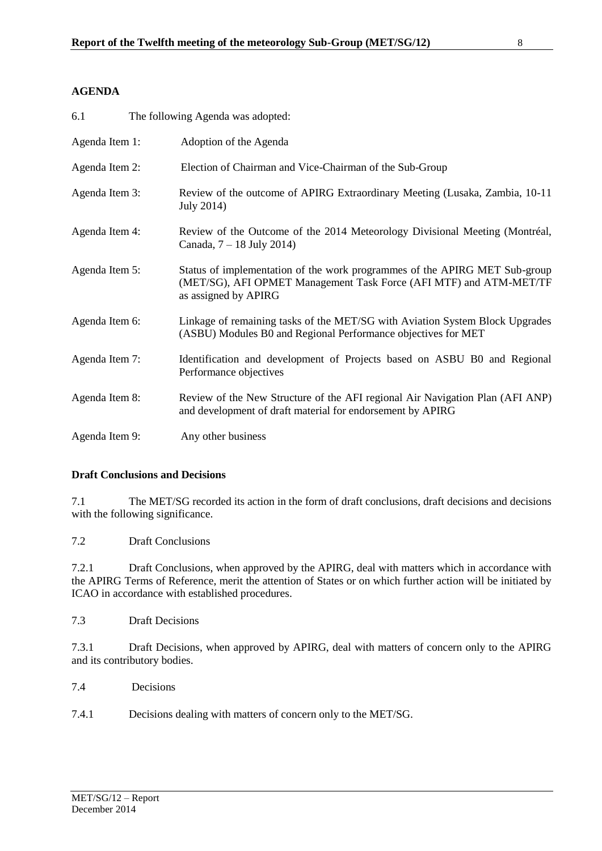# <span id="page-8-0"></span>**AGENDA**

| 6.1            | The following Agenda was adopted:                                                                                                                                        |
|----------------|--------------------------------------------------------------------------------------------------------------------------------------------------------------------------|
| Agenda Item 1: | Adoption of the Agenda                                                                                                                                                   |
| Agenda Item 2: | Election of Chairman and Vice-Chairman of the Sub-Group                                                                                                                  |
| Agenda Item 3: | Review of the outcome of APIRG Extraordinary Meeting (Lusaka, Zambia, 10-11<br>July 2014)                                                                                |
| Agenda Item 4: | Review of the Outcome of the 2014 Meteorology Divisional Meeting (Montréal,<br>Canada, 7 – 18 July 2014)                                                                 |
| Agenda Item 5: | Status of implementation of the work programmes of the APIRG MET Sub-group<br>(MET/SG), AFI OPMET Management Task Force (AFI MTF) and ATM-MET/TF<br>as assigned by APIRG |
| Agenda Item 6: | Linkage of remaining tasks of the MET/SG with Aviation System Block Upgrades<br>(ASBU) Modules B0 and Regional Performance objectives for MET                            |
| Agenda Item 7: | Identification and development of Projects based on ASBU B0 and Regional<br>Performance objectives                                                                       |
| Agenda Item 8: | Review of the New Structure of the AFI regional Air Navigation Plan (AFI ANP)<br>and development of draft material for endorsement by APIRG                              |
| Agenda Item 9: | Any other business                                                                                                                                                       |

## <span id="page-8-1"></span>**Draft Conclusions and Decisions**

7.1 The MET/SG recorded its action in the form of draft conclusions, draft decisions and decisions with the following significance.

7.2 Draft Conclusions

7.2.1 Draft Conclusions, when approved by the APIRG, deal with matters which in accordance with the APIRG Terms of Reference, merit the attention of States or on which further action will be initiated by ICAO in accordance with established procedures.

7.3 Draft Decisions

7.3.1 Draft Decisions, when approved by APIRG, deal with matters of concern only to the APIRG and its contributory bodies.

- 7.4 Decisions
- 7.4.1 Decisions dealing with matters of concern only to the MET/SG.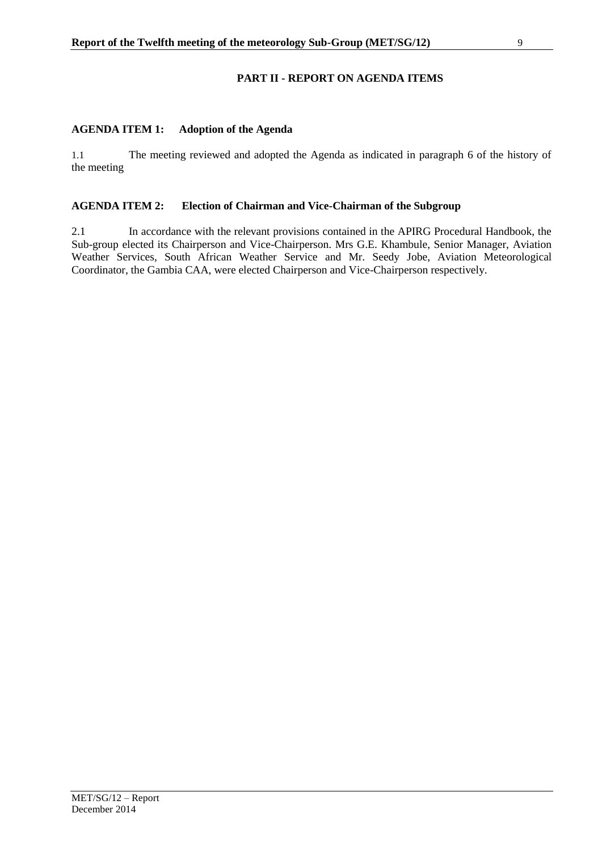# **PART II - REPORT ON AGENDA ITEMS**

## <span id="page-9-1"></span><span id="page-9-0"></span>**AGENDA ITEM 1: Adoption of the Agenda**

1.1 The meeting reviewed and adopted the Agenda as indicated in paragraph 6 of the history of the meeting

### <span id="page-9-2"></span>**AGENDA ITEM 2: Election of Chairman and Vice-Chairman of the Subgroup**

2.1 In accordance with the relevant provisions contained in the APIRG Procedural Handbook, the Sub-group elected its Chairperson and Vice-Chairperson. Mrs G.E. Khambule, Senior Manager, Aviation Weather Services, South African Weather Service and Mr. Seedy Jobe, Aviation Meteorological Coordinator, the Gambia CAA, were elected Chairperson and Vice-Chairperson respectively.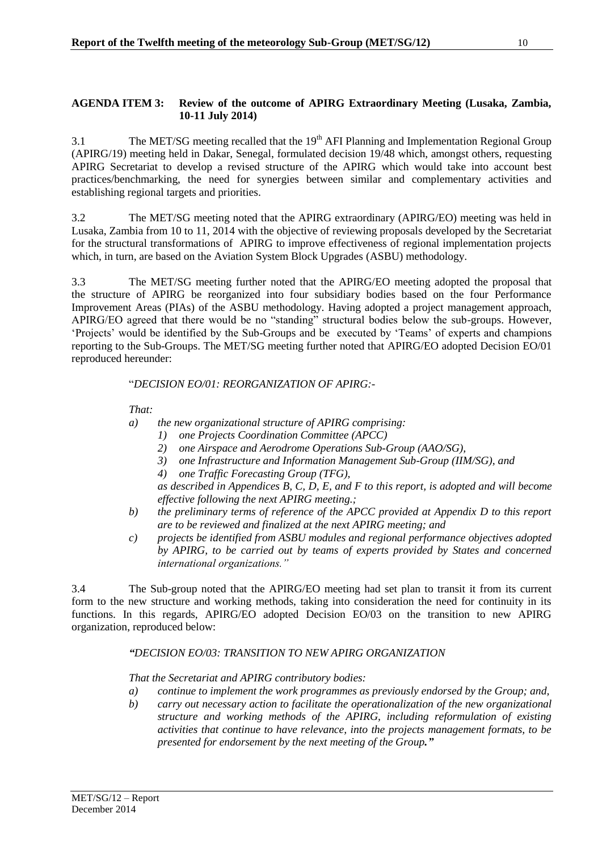<span id="page-10-0"></span>3.1 The MET/SG meeting recalled that the 19<sup>th</sup> AFI Planning and Implementation Regional Group (APIRG/19) meeting held in Dakar, Senegal, formulated decision 19/48 which, amongst others, requesting APIRG Secretariat to develop a revised structure of the APIRG which would take into account best practices/benchmarking, the need for synergies between similar and complementary activities and establishing regional targets and priorities.

3.2 The MET/SG meeting noted that the APIRG extraordinary (APIRG/EO) meeting was held in Lusaka, Zambia from 10 to 11, 2014 with the objective of reviewing proposals developed by the Secretariat for the structural transformations of APIRG to improve effectiveness of regional implementation projects which, in turn, are based on the Aviation System Block Upgrades (ASBU) methodology.

3.3 The MET/SG meeting further noted that the APIRG/EO meeting adopted the proposal that the structure of APIRG be reorganized into four subsidiary bodies based on the four Performance Improvement Areas (PIAs) of the ASBU methodology. Having adopted a project management approach, APIRG/EO agreed that there would be no "standing" structural bodies below the sub-groups. However, 'Projects' would be identified by the Sub-Groups and be executed by 'Teams' of experts and champions reporting to the Sub-Groups. The MET/SG meeting further noted that APIRG/EO adopted Decision EO/01 reproduced hereunder:

## "*DECISION EO/01: REORGANIZATION OF APIRG:-*

# *That:*

*a) the new organizational structure of APIRG comprising:* 

- *1) one Projects Coordination Committee (APCC)*
- *2) one Airspace and Aerodrome Operations Sub-Group (AAO/SG),*
- *3) one Infrastructure and Information Management Sub-Group (IIM/SG), and*
- *4) one Traffic Forecasting Group (TFG),*

*as described in Appendices B, C, D, E, and F to this report, is adopted and will become effective following the next APIRG meeting.;* 

- *b) the preliminary terms of reference of the APCC provided at Appendix D to this report are to be reviewed and finalized at the next APIRG meeting; and*
- *c) projects be identified from ASBU modules and regional performance objectives adopted by APIRG, to be carried out by teams of experts provided by States and concerned international organizations."*

3.4 The Sub-group noted that the APIRG/EO meeting had set plan to transit it from its current form to the new structure and working methods, taking into consideration the need for continuity in its functions. In this regards, APIRG/EO adopted Decision EO/03 on the transition to new APIRG organization, reproduced below:

## *"DECISION EO/03: TRANSITION TO NEW APIRG ORGANIZATION*

*That the Secretariat and APIRG contributory bodies:* 

- *a) continue to implement the work programmes as previously endorsed by the Group; and,*
- *b) carry out necessary action to facilitate the operationalization of the new organizational structure and working methods of the APIRG, including reformulation of existing activities that continue to have relevance, into the projects management formats, to be presented for endorsement by the next meeting of the Group."*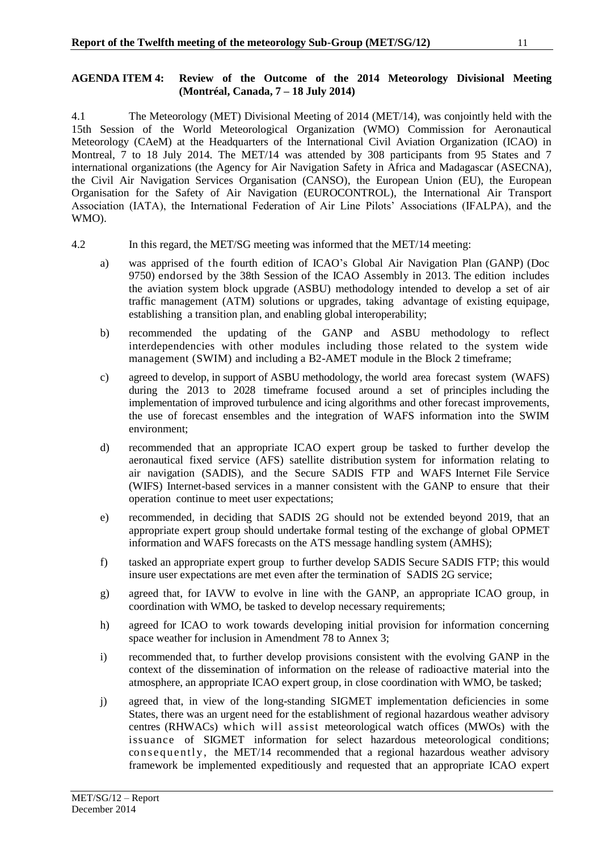#### <span id="page-11-0"></span>**AGENDA ITEM 4: Review of the Outcome of the 2014 Meteorology Divisional Meeting (Montréal, Canada, 7 – 18 July 2014)**

4.1 The Meteorology (MET) Divisional Meeting of 2014 (MET/14), was conjointly held with the 15th Session of the World Meteorological Organization (WMO) Commission for Aeronautical Meteorology (CAeM) at the Headquarters of the International Civil Aviation Organization (ICAO) in Montreal, 7 to 18 July 2014. The MET/14 was attended by 308 participants from 95 States and 7 international organizations (the Agency for Air Navigation Safety in Africa and Madagascar (ASECNA), the Civil Air Navigation Services Organisation (CANSO), the European Union (EU), the European Organisation for the Safety of Air Navigation (EUROCONTROL), the International Air Transport Association (IATA), the International Federation of Air Line Pilots' Associations (IFALPA), and the WMO).

- 4.2 In this regard, the MET/SG meeting was informed that the MET/14 meeting:
	- a) was apprised of the fourth edition of ICAO's Global Air Navigation Plan (GANP) (Doc 9750) endorsed by the 38th Session of the ICAO Assembly in 2013. The edition includes the aviation system block upgrade (ASBU) methodology intended to develop a set of air traffic management (ATM) solutions or upgrades, taking advantage of existing equipage, establishing a transition plan, and enabling global interoperability;
	- b) recommended the updating of the GANP and ASBU methodology to reflect interdependencies with other modules including those related to the system wide management (SWIM) and including a B2-AMET module in the Block 2 timeframe;
	- c) agreed to develop, in support of ASBU methodology, the world area forecast system (WAFS) during the 2013 to 2028 timeframe focused around a set of principles including the implementation of improved turbulence and icing algorithms and other forecast improvements, the use of forecast ensembles and the integration of WAFS information into the SWIM environment;
	- d) recommended that an appropriate ICAO expert group be tasked to further develop the aeronautical fixed service (AFS) satellite distribution system for information relating to air navigation (SADIS), and the Secure SADIS FTP and WAFS Internet File Service (WIFS) Internet-based services in a manner consistent with the GANP to ensure that their operation continue to meet user expectations;
	- e) recommended, in deciding that SADIS 2G should not be extended beyond 2019, that an appropriate expert group should undertake formal testing of the exchange of global OPMET information and WAFS forecasts on the ATS message handling system (AMHS);
	- f) tasked an appropriate expert group to further develop SADIS Secure SADIS FTP; this would insure user expectations are met even after the termination of SADIS 2G service;
	- g) agreed that, for IAVW to evolve in line with the GANP, an appropriate ICAO group, in coordination with WMO, be tasked to develop necessary requirements;
	- h) agreed for ICAO to work towards developing initial provision for information concerning space weather for inclusion in Amendment 78 to Annex 3;
	- i) recommended that, to further develop provisions consistent with the evolving GANP in the context of the dissemination of information on the release of radioactive material into the atmosphere, an appropriate ICAO expert group, in close coordination with WMO, be tasked;
	- j) agreed that, in view of the long-standing SIGMET implementation deficiencies in some States, there was an urgent need for the establishment of regional hazardous weather advisory centres (RHWACs) which will assist meteorological watch offices (MWOs) with the issuance of SIGMET information for select hazardous meteorological conditions; consequently, the MET/14 recommended that a regional hazardous weather advisory framework be implemented expeditiously and requested that an appropriate ICAO expert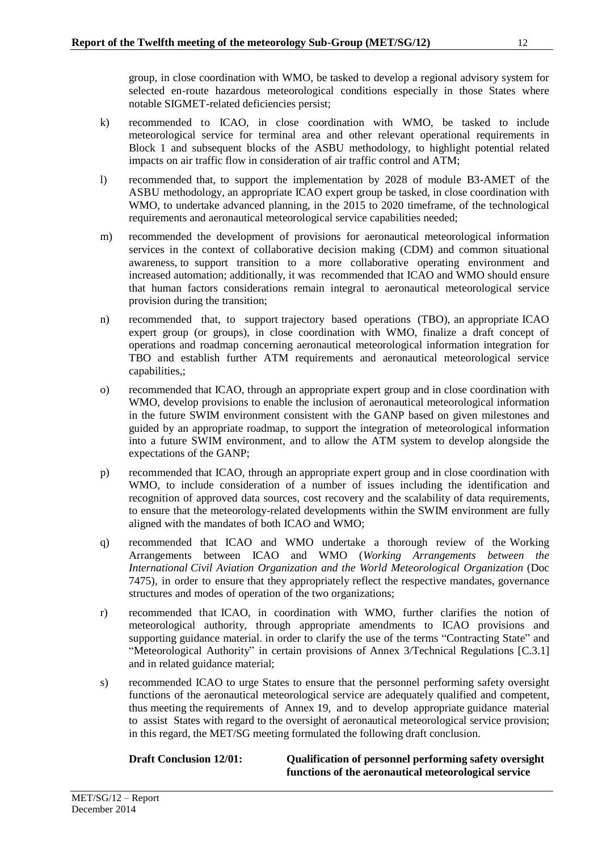group, in close coordination with WMO, be tasked to develop a regional advisory system for selected en-route hazardous meteorological conditions especially in those States where notable SIGMET-related deficiencies persist;

- k) recommended to ICAO, in close coordination with WMO, be tasked to include meteorological service for terminal area and other relevant operational requirements in Block 1 and subsequent blocks of the ASBU methodology, to highlight potential related impacts on air traffic flow in consideration of air traffic control and ATM;
- l) recommended that, to support the implementation by 2028 of module B3-AMET of the ASBU methodology, an appropriate ICAO expert group be tasked, in close coordination with WMO, to undertake advanced planning, in the 2015 to 2020 timeframe, of the technological requirements and aeronautical meteorological service capabilities needed;
- m) recommended the development of provisions for aeronautical meteorological information services in the context of collaborative decision making (CDM) and common situational awareness, to support transition to a more collaborative operating environment and increased automation; additionally, it was recommended that ICAO and WMO should ensure that human factors considerations remain integral to aeronautical meteorological service provision during the transition;
- n) recommended that, to support trajectory based operations (TBO), an appropriate ICAO expert group (or groups), in close coordination with WMO, finalize a draft concept of operations and roadmap concerning aeronautical meteorological information integration for TBO and establish further ATM requirements and aeronautical meteorological service capabilities,;
- o) recommended that ICAO, through an appropriate expert group and in close coordination with WMO, develop provisions to enable the inclusion of aeronautical meteorological information in the future SWIM environment consistent with the GANP based on given milestones and guided by an appropriate roadmap, to support the integration of meteorological information into a future SWIM environment, and to allow the ATM system to develop alongside the expectations of the GANP;
- p) recommended that ICAO, through an appropriate expert group and in close coordination with WMO, to include consideration of a number of issues including the identification and recognition of approved data sources, cost recovery and the scalability of data requirements, to ensure that the meteorology-related developments within the SWIM environment are fully aligned with the mandates of both ICAO and WMO;
- q) recommended that ICAO and WMO undertake a thorough review of the Working Arrangements between ICAO and WMO (*Working Arrangements between the International Civil Aviation Organization and the World Meteorological Organization* (Doc 7475), in order to ensure that they appropriately reflect the respective mandates, governance structures and modes of operation of the two organizations;
- r) recommended that ICAO, in coordination with WMO, further clarifies the notion of meteorological authority, through appropriate amendments to ICAO provisions and supporting guidance material. in order to clarify the use of the terms "Contracting State" and "Meteorological Authority" in certain provisions of Annex 3/Technical Regulations [C.3.1] and in related guidance material;
- s) recommended ICAO to urge States to ensure that the personnel performing safety oversight functions of the aeronautical meteorological service are adequately qualified and competent, thus meeting the requirements of Annex 19, and to develop appropriate guidance material to assist States with regard to the oversight of aeronautical meteorological service provision; in this regard, the MET/SG meeting formulated the following draft conclusion.

**Draft Conclusion 12/01: Qualification of personnel performing safety oversight functions of the aeronautical meteorological service**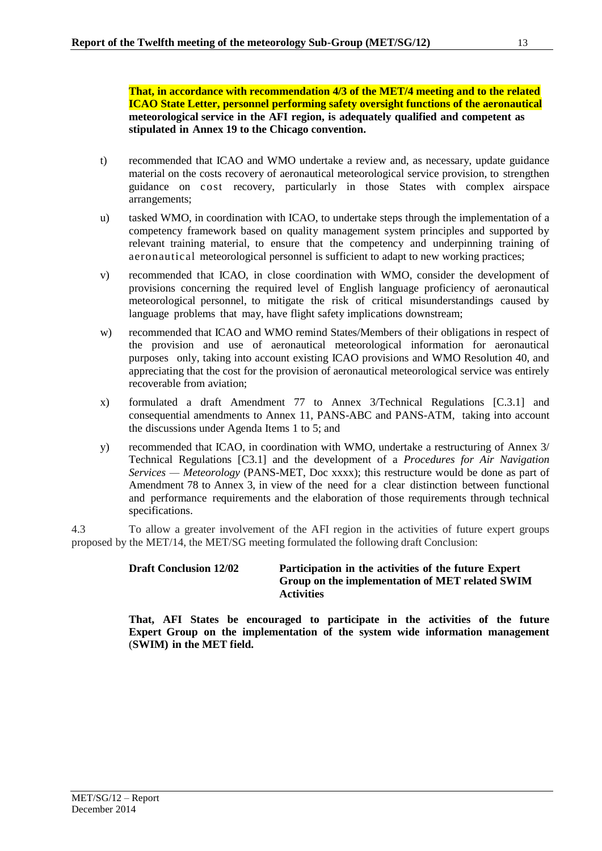**That, in accordance with recommendation 4/3 of the MET/4 meeting and to the related ICAO State Letter, personnel performing safety oversight functions of the aeronautical meteorological service in the AFI region, is adequately qualified and competent as stipulated in Annex 19 to the Chicago convention.**

- t) recommended that ICAO and WMO undertake a review and, as necessary, update guidance material on the costs recovery of aeronautical meteorological service provision, to strengthen guidance on cost recovery, particularly in those States with complex airspace arrangements;
- u) tasked WMO, in coordination with ICAO, to undertake steps through the implementation of a competency framework based on quality management system principles and supported by relevant training material, to ensure that the competency and underpinning training of aeronautical meteorological personnel is sufficient to adapt to new working practices;
- v) recommended that ICAO, in close coordination with WMO, consider the development of provisions concerning the required level of English language proficiency of aeronautical meteorological personnel, to mitigate the risk of critical misunderstandings caused by language problems that may, have flight safety implications downstream;
- w) recommended that ICAO and WMO remind States/Members of their obligations in respect of the provision and use of aeronautical meteorological information for aeronautical purposes only, taking into account existing ICAO provisions and WMO Resolution 40, and appreciating that the cost for the provision of aeronautical meteorological service was entirely recoverable from aviation;
- x) formulated a draft Amendment 77 to Annex 3/Technical Regulations [C.3.1] and consequential amendments to Annex 11, PANS-ABC and PANS-ATM, taking into account the discussions under Agenda Items 1 to 5; and
- y) recommended that ICAO, in coordination with WMO, undertake a restructuring of Annex 3/ Technical Regulations [C3.1] and the development of a *Procedures for Air Navigation Services — Meteorology* (PANS-MET, Doc xxxx); this restructure would be done as part of Amendment 78 to Annex 3, in view of the need for a clear distinction between functional and performance requirements and the elaboration of those requirements through technical specifications.

4.3 To allow a greater involvement of the AFI region in the activities of future expert groups proposed by the MET/14, the MET/SG meeting formulated the following draft Conclusion:

## **Draft Conclusion 12/02 Participation in the activities of the future Expert Group on the implementation of MET related SWIM Activities**

**That, AFI States be encouraged to participate in the activities of the future Expert Group on the implementation of the system wide information management** (**SWIM) in the MET field.**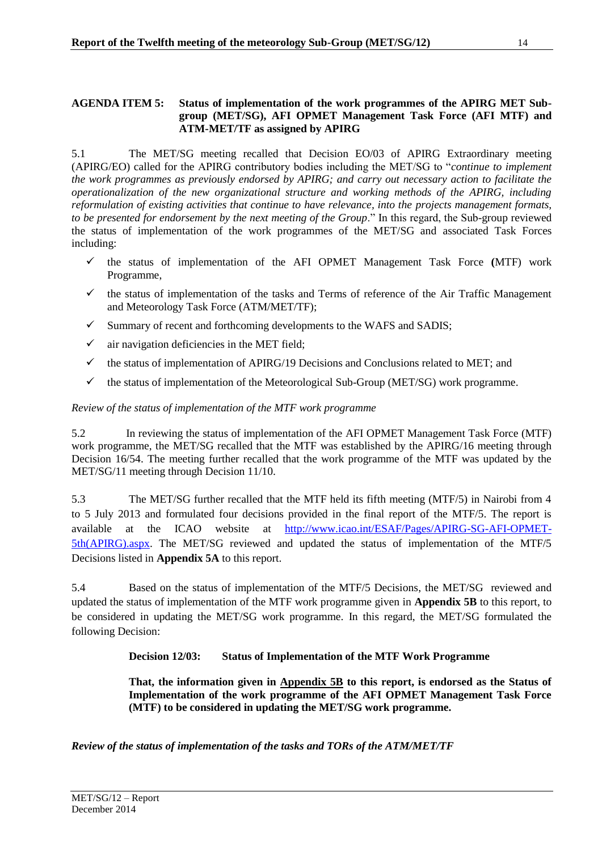#### <span id="page-14-0"></span>**AGENDA ITEM 5: Status of implementation of the work programmes of the APIRG MET Subgroup (MET/SG), AFI OPMET Management Task Force (AFI MTF) and ATM-MET/TF as assigned by APIRG**

5.1 The MET/SG meeting recalled that Decision EO/03 of APIRG Extraordinary meeting (APIRG/EO) called for the APIRG contributory bodies including the MET/SG to "*continue to implement the work programmes as previously endorsed by APIRG; and carry out necessary action to facilitate the operationalization of the new organizational structure and working methods of the APIRG, including reformulation of existing activities that continue to have relevance, into the projects management formats, to be presented for endorsement by the next meeting of the Group*." In this regard, the Sub-group reviewed the status of implementation of the work programmes of the MET/SG and associated Task Forces including:

- $\checkmark$  the status of implementation of the AFI OPMET Management Task Force (MTF) work Programme,
- $\checkmark$  the status of implementation of the tasks and Terms of reference of the Air Traffic Management and Meteorology Task Force (ATM/MET/TF);
- $\checkmark$  Summary of recent and forthcoming developments to the WAFS and SADIS;
- $\checkmark$  air navigation deficiencies in the MET field;
- $\checkmark$  the status of implementation of APIRG/19 Decisions and Conclusions related to MET; and
- $\checkmark$  the status of implementation of the Meteorological Sub-Group (MET/SG) work programme.

# *Review of the status of implementation of the MTF work programme*

5.2 In reviewing the status of implementation of the AFI OPMET Management Task Force (MTF) work programme, the MET/SG recalled that the MTF was established by the APIRG/16 meeting through Decision 16/54. The meeting further recalled that the work programme of the MTF was updated by the MET/SG/11 meeting through Decision 11/10.

5.3 The MET/SG further recalled that the MTF held its fifth meeting (MTF/5) in Nairobi from 4 to 5 July 2013 and formulated four decisions provided in the final report of the MTF/5. The report is available at the ICAO website at [http://www.icao.int/ESAF/Pages/APIRG-SG-AFI-OPMET-](http://www.icao.int/ESAF/Pages/APIRG-SG-AFI-OPMET-5th(APIRG).aspx)[5th\(APIRG\).aspx.](http://www.icao.int/ESAF/Pages/APIRG-SG-AFI-OPMET-5th(APIRG).aspx) The MET/SG reviewed and updated the status of implementation of the MTF/5 Decisions listed in **Appendix 5A** to this report.

5.4 Based on the status of implementation of the MTF/5 Decisions, the MET/SG reviewed and updated the status of implementation of the MTF work programme given in **Appendix 5B** to this report, to be considered in updating the MET/SG work programme. In this regard, the MET/SG formulated the following Decision:

# **Decision 12/03: Status of Implementation of the MTF Work Programme**

**That, the information given in Appendix 5B to this report, is endorsed as the Status of Implementation of the work programme of the AFI OPMET Management Task Force (MTF) to be considered in updating the MET/SG work programme.**

*Review of the status of implementation of the tasks and TORs of the ATM/MET/TF*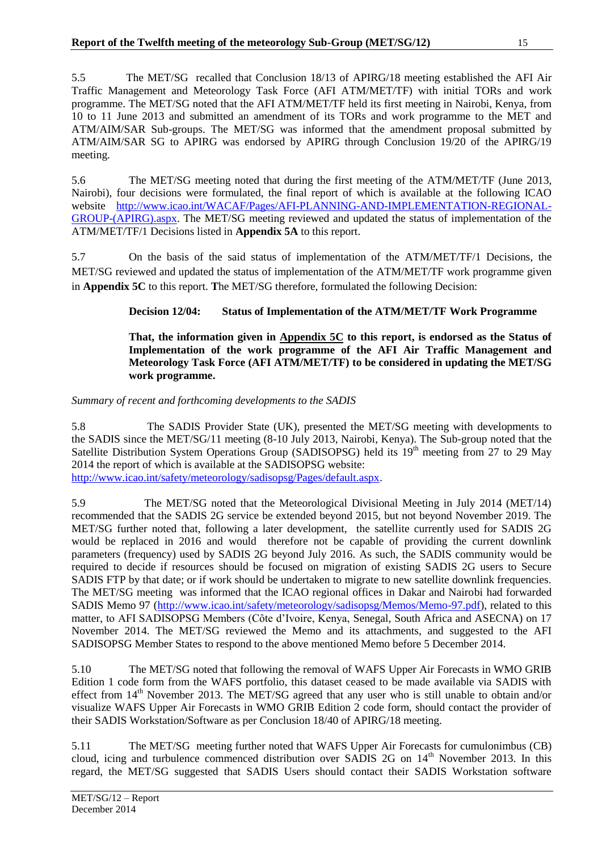5.5 The MET/SG recalled that Conclusion 18/13 of APIRG/18 meeting established the AFI Air Traffic Management and Meteorology Task Force (AFI ATM/MET/TF) with initial TORs and work programme. The MET/SG noted that the AFI ATM/MET/TF held its first meeting in Nairobi, Kenya, from 10 to 11 June 2013 and submitted an amendment of its TORs and work programme to the MET and ATM/AIM/SAR Sub-groups. The MET/SG was informed that the amendment proposal submitted by ATM/AIM/SAR SG to APIRG was endorsed by APIRG through Conclusion 19/20 of the APIRG/19 meeting.

5.6 The MET/SG meeting noted that during the first meeting of the ATM/MET/TF (June 2013, Nairobi), four decisions were formulated, the final report of which is available at the following ICAO website [http://www.icao.int/WACAF/Pages/AFI-PLANNING-AND-IMPLEMENTATION-REGIONAL-](http://www.icao.int/WACAF/Pages/AFI-PLANNING-AND-IMPLEMENTATION-REGIONAL-GROUP-(APIRG).aspx)[GROUP-\(APIRG\).aspx.](http://www.icao.int/WACAF/Pages/AFI-PLANNING-AND-IMPLEMENTATION-REGIONAL-GROUP-(APIRG).aspx) The MET/SG meeting reviewed and updated the status of implementation of the ATM/MET/TF/1 Decisions listed in **Appendix 5A** to this report.

5.7 On the basis of the said status of implementation of the ATM/MET/TF/1 Decisions, the MET/SG reviewed and updated the status of implementation of the ATM/MET/TF work programme given in **Appendix 5C** to this report. **T**he MET/SG therefore, formulated the following Decision:

# **Decision 12/04: Status of Implementation of the ATM/MET/TF Work Programme**

#### **That, the information given in Appendix 5C to this report, is endorsed as the Status of Implementation of the work programme of the AFI Air Traffic Management and Meteorology Task Force (AFI ATM/MET/TF) to be considered in updating the MET/SG work programme.**

## *Summary of recent and forthcoming developments to the SADIS*

5.8 The SADIS Provider State (UK), presented the MET/SG meeting with developments to the SADIS since the MET/SG/11 meeting (8-10 July 2013, Nairobi, Kenya). The Sub-group noted that the Satellite Distribution System Operations Group (SADISOPSG) held its 19<sup>th</sup> meeting from 27 to 29 May 2014 the report of which is available at the SADISOPSG website: [http://www.icao.int/safety/meteorology/sadisopsg/Pages/default.aspx.](http://www.icao.int/safety/meteorology/sadisopsg/Pages/default.aspx)

5.9 The MET/SG noted that the Meteorological Divisional Meeting in July 2014 (MET/14) recommended that the SADIS 2G service be extended beyond 2015, but not beyond November 2019. The MET/SG further noted that, following a later development, the satellite currently used for SADIS 2G would be replaced in 2016 and would therefore not be capable of providing the current downlink parameters (frequency) used by SADIS 2G beyond July 2016. As such, the SADIS community would be required to decide if resources should be focused on migration of existing SADIS 2G users to Secure SADIS FTP by that date; or if work should be undertaken to migrate to new satellite downlink frequencies. The MET/SG meeting was informed that the ICAO regional offices in Dakar and Nairobi had forwarded SADIS Memo 97 [\(http://www.icao.int/safety/meteorology/sadisopsg/Memos/Memo-97.pdf\)](http://www.icao.int/safety/meteorology/sadisopsg/Memos/Memo-97.pdf), related to this matter, to AFI SADISOPSG Members (Côte d'Ivoire, Kenya, Senegal, South Africa and ASECNA) on 17 November 2014. The MET/SG reviewed the Memo and its attachments, and suggested to the AFI SADISOPSG Member States to respond to the above mentioned Memo before 5 December 2014.

5.10 The MET/SG noted that following the removal of WAFS Upper Air Forecasts in WMO GRIB Edition 1 code form from the WAFS portfolio, this dataset ceased to be made available via SADIS with effect from 14<sup>th</sup> November 2013. The MET/SG agreed that any user who is still unable to obtain and/or visualize WAFS Upper Air Forecasts in WMO GRIB Edition 2 code form, should contact the provider of their SADIS Workstation/Software as per Conclusion 18/40 of APIRG/18 meeting.

5.11 The MET/SG meeting further noted that WAFS Upper Air Forecasts for cumulonimbus (CB) cloud, icing and turbulence commenced distribution over  $SADIS$  2G on  $14<sup>th</sup>$  November 2013. In this regard, the MET/SG suggested that SADIS Users should contact their SADIS Workstation software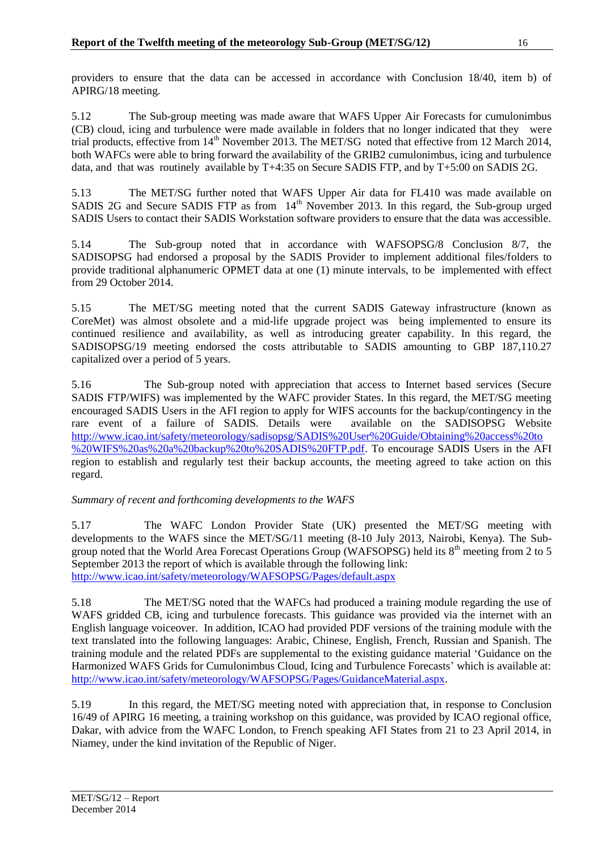providers to ensure that the data can be accessed in accordance with Conclusion 18/40, item b) of APIRG/18 meeting.

5.12 The Sub-group meeting was made aware that WAFS Upper Air Forecasts for cumulonimbus (CB) cloud, icing and turbulence were made available in folders that no longer indicated that they were trial products, effective from 14<sup>th</sup> November 2013. The MET/SG noted that effective from 12 March 2014, both WAFCs were able to bring forward the availability of the GRIB2 cumulonimbus, icing and turbulence data, and that was routinely available by T+4:35 on Secure SADIS FTP, and by T+5:00 on SADIS 2G.

5.13 The MET/SG further noted that WAFS Upper Air data for FL410 was made available on SADIS 2G and Secure SADIS FTP as from  $14<sup>th</sup>$  November 2013. In this regard, the Sub-group urged SADIS Users to contact their SADIS Workstation software providers to ensure that the data was accessible.

5.14 The Sub-group noted that in accordance with WAFSOPSG/8 Conclusion 8/7, the SADISOPSG had endorsed a proposal by the SADIS Provider to implement additional files/folders to provide traditional alphanumeric OPMET data at one (1) minute intervals, to be implemented with effect from 29 October 2014.

5.15 The MET/SG meeting noted that the current SADIS Gateway infrastructure (known as CoreMet) was almost obsolete and a mid-life upgrade project was being implemented to ensure its continued resilience and availability, as well as introducing greater capability. In this regard, the SADISOPSG/19 meeting endorsed the costs attributable to SADIS amounting to GBP 187,110.27 capitalized over a period of 5 years.

5.16 The Sub-group noted with appreciation that access to Internet based services (Secure SADIS FTP/WIFS) was implemented by the WAFC provider States. In this regard, the MET/SG meeting encouraged SADIS Users in the AFI region to apply for WIFS accounts for the backup/contingency in the rare event of a failure of SADIS. Details were available on the SADISOPSG Website [http://www.icao.int/safety/meteorology/sadisopsg/SADIS%20User%20Guide/Obtaining%20access%20to](http://www.icao.int/safety/meteorology/sadisopsg/SADIS%20User%20Guide/Obtaining%20access%20to%20WIFS%20as%20a%20backup%20to%20SADIS%20FTP.pdf) [%20WIFS%20as%20a%20backup%20to%20SADIS%20FTP.pdf.](http://www.icao.int/safety/meteorology/sadisopsg/SADIS%20User%20Guide/Obtaining%20access%20to%20WIFS%20as%20a%20backup%20to%20SADIS%20FTP.pdf) To encourage SADIS Users in the AFI region to establish and regularly test their backup accounts, the meeting agreed to take action on this regard.

## *Summary of recent and forthcoming developments to the WAFS*

5.17 The WAFC London Provider State (UK) presented the MET/SG meeting with developments to the WAFS since the MET/SG/11 meeting (8-10 July 2013, Nairobi, Kenya). The Subgroup noted that the World Area Forecast Operations Group (WAFSOPSG) held its  $8<sup>th</sup>$  meeting from 2 to 5 September 2013 the report of which is available through the following link: <http://www.icao.int/safety/meteorology/WAFSOPSG/Pages/default.aspx>

5.18 The MET/SG noted that the WAFCs had produced a training module regarding the use of WAFS gridded CB, icing and turbulence forecasts. This guidance was provided via the internet with an English language voiceover. In addition, ICAO had provided PDF versions of the training module with the text translated into the following languages: Arabic, Chinese, English, French, Russian and Spanish. The training module and the related PDFs are supplemental to the existing guidance material ['Guidance on the](http://www.icao.int/safety/meteorology/WAFSOPSG/Guidance%20Material/Guidance%20on%20the%20Harmonized%20WAFS%20Grids%20for%20Cumulonimbus%20Cloud,%20Icing%20and%20Turbulence%20Forecasts%20-%2011%20September%202012.pdf)  [Harmonized WAFS Grids for Cumulonimbus Cloud, Icing and Turbulence Forecasts'](http://www.icao.int/safety/meteorology/WAFSOPSG/Guidance%20Material/Guidance%20on%20the%20Harmonized%20WAFS%20Grids%20for%20Cumulonimbus%20Cloud,%20Icing%20and%20Turbulence%20Forecasts%20-%2011%20September%202012.pdf) which is available at: [http://www.icao.int/safety/meteorology/WAFSOPSG/Pages/GuidanceMaterial.aspx.](http://www.icao.int/safety/meteorology/WAFSOPSG/Pages/GuidanceMaterial.aspx)

5.19 In this regard, the MET/SG meeting noted with appreciation that, in response to Conclusion 16/49 of APIRG 16 meeting, a training workshop on this guidance, was provided by ICAO regional office, Dakar, with advice from the WAFC London, to French speaking AFI States from 21 to 23 April 2014, in Niamey, under the kind invitation of the Republic of Niger.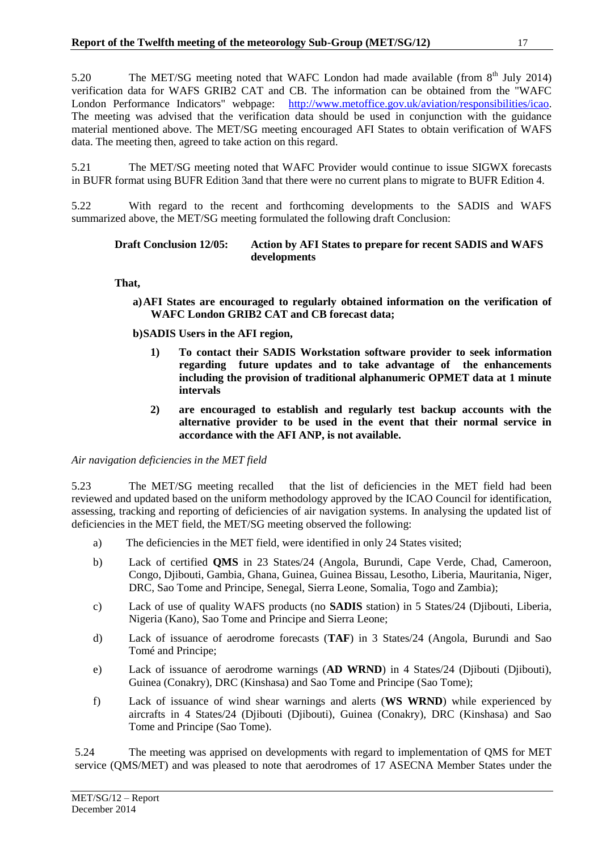5.20 The MET/SG meeting noted that WAFC London had made available (from 8<sup>th</sup> July 2014) verification data for WAFS GRIB2 CAT and CB. The information can be obtained from the "WAFC London Performance Indicators" webpage: [http://www.metoffice.gov.uk/aviation/responsibilities/icao.](http://www.metoffice.gov.uk/aviation/responsibilities/icao) The meeting was advised that the verification data should be used in conjunction with the guidance material mentioned above. The MET/SG meeting encouraged AFI States to obtain verification of WAFS data. The meeting then, agreed to take action on this regard.

5.21 The MET/SG meeting noted that WAFC Provider would continue to issue SIGWX forecasts in BUFR format using BUFR Edition 3and that there were no current plans to migrate to BUFR Edition 4.

5.22 With regard to the recent and forthcoming developments to the SADIS and WAFS summarized above, the MET/SG meeting formulated the following draft Conclusion:

#### **Draft Conclusion 12/05: Action by AFI States to prepare for recent SADIS and WAFS developments**

**That,** 

**a)AFI States are encouraged to regularly obtained information on the verification of WAFC London GRIB2 CAT and CB forecast data;**

**b)SADIS Users in the AFI region,** 

- **1) To contact their SADIS Workstation software provider to seek information regarding future updates and to take advantage of the enhancements including the provision of traditional alphanumeric OPMET data at 1 minute intervals**
- **2) are encouraged to establish and regularly test backup accounts with the alternative provider to be used in the event that their normal service in accordance with the AFI ANP, is not available.**

*Air navigation deficiencies in the MET field*

5.23 The MET/SG meeting recalled that the list of deficiencies in the MET field had been reviewed and updated based on the uniform methodology approved by the ICAO Council for identification, assessing, tracking and reporting of deficiencies of air navigation systems. In analysing the updated list of deficiencies in the MET field, the MET/SG meeting observed the following:

- a) The deficiencies in the MET field, were identified in only 24 States visited;
- b) Lack of certified **QMS** in 23 States/24 (Angola, Burundi, Cape Verde, Chad, Cameroon, Congo, Djibouti, Gambia, Ghana, Guinea, Guinea Bissau, Lesotho, Liberia, Mauritania, Niger, DRC, Sao Tome and Principe, Senegal, Sierra Leone, Somalia, Togo and Zambia);
- c) Lack of use of quality WAFS products (no **SADIS** station) in 5 States/24 (Djibouti, Liberia, Nigeria (Kano), Sao Tome and Principe and Sierra Leone;
- d) Lack of issuance of aerodrome forecasts (**TAF**) in 3 States/24 (Angola, Burundi and Sao Tomé and Principe;
- e) Lack of issuance of aerodrome warnings (**AD WRND**) in 4 States/24 (Djibouti (Djibouti), Guinea (Conakry), DRC (Kinshasa) and Sao Tome and Principe (Sao Tome);
- f) Lack of issuance of wind shear warnings and alerts (**WS WRND**) while experienced by aircrafts in 4 States/24 (Djibouti (Djibouti), Guinea (Conakry), DRC (Kinshasa) and Sao Tome and Principe (Sao Tome).

5.24 The meeting was apprised on developments with regard to implementation of QMS for MET service (QMS/MET) and was pleased to note that aerodromes of 17 ASECNA Member States under the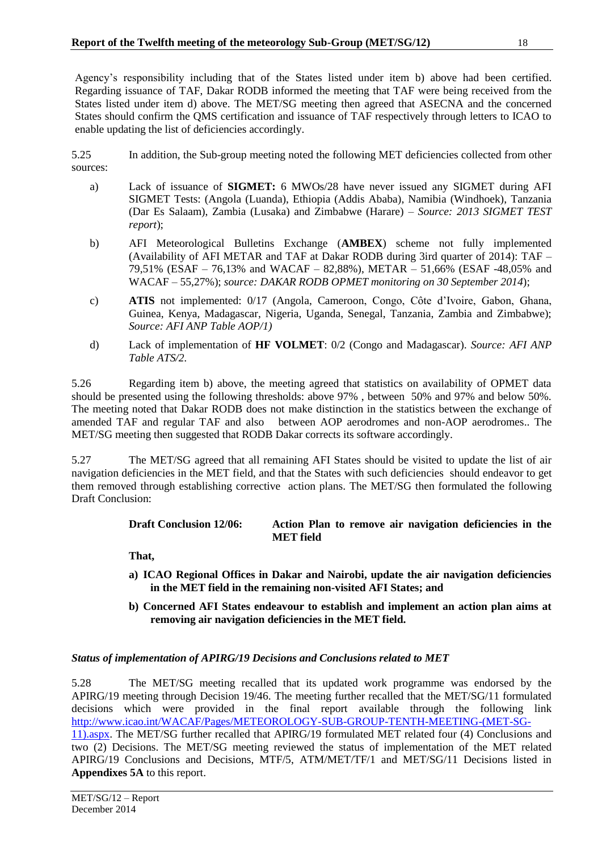Agency's responsibility including that of the States listed under item b) above had been certified. Regarding issuance of TAF, Dakar RODB informed the meeting that TAF were being received from the States listed under item d) above. The MET/SG meeting then agreed that ASECNA and the concerned States should confirm the QMS certification and issuance of TAF respectively through letters to ICAO to enable updating the list of deficiencies accordingly.

5.25 In addition, the Sub-group meeting noted the following MET deficiencies collected from other sources:

- a) Lack of issuance of **SIGMET:** 6 MWOs/28 have never issued any SIGMET during AFI SIGMET Tests: (Angola (Luanda), Ethiopia (Addis Ababa), Namibia (Windhoek), Tanzania (Dar Es Salaam), Zambia (Lusaka) and Zimbabwe (Harare) – *Source: 2013 SIGMET TEST report*);
- b) AFI Meteorological Bulletins Exchange (**AMBEX**) scheme not fully implemented (Availability of AFI METAR and TAF at Dakar RODB during 3ird quarter of 2014): TAF – 79,51% (ESAF – 76,13% and WACAF – 82,88%), METAR – 51,66% (ESAF -48,05% and WACAF – 55,27%); *source: DAKAR RODB OPMET monitoring on 30 September 2014*);
- c) **ATIS** not implemented: 0/17 (Angola, Cameroon, Congo, Côte d'Ivoire, Gabon, Ghana, Guinea, Kenya, Madagascar, Nigeria, Uganda, Senegal, Tanzania, Zambia and Zimbabwe); *Source: AFI ANP Table AOP/1)*
- d) Lack of implementation of **HF VOLMET**: 0/2 (Congo and Madagascar). *Source: AFI ANP Table ATS/2.*

5.26 Regarding item b) above, the meeting agreed that statistics on availability of OPMET data should be presented using the following thresholds: above 97% , between 50% and 97% and below 50%. The meeting noted that Dakar RODB does not make distinction in the statistics between the exchange of amended TAF and regular TAF and also between AOP aerodromes and non-AOP aerodromes.. The MET/SG meeting then suggested that RODB Dakar corrects its software accordingly.

5.27 The MET/SG agreed that all remaining AFI States should be visited to update the list of air navigation deficiencies in the MET field, and that the States with such deficiencies should endeavor to get them removed through establishing corrective action plans. The MET/SG then formulated the following Draft Conclusion:

## **Draft Conclusion 12/06: Action Plan to remove air navigation deficiencies in the MET field**

**That,** 

- **a) ICAO Regional Offices in Dakar and Nairobi, update the air navigation deficiencies in the MET field in the remaining non-visited AFI States; and**
- **b) Concerned AFI States endeavour to establish and implement an action plan aims at removing air navigation deficiencies in the MET field.**

# *Status of implementation of APIRG/19 Decisions and Conclusions related to MET*

5.28 The MET/SG meeting recalled that its updated work programme was endorsed by the APIRG/19 meeting through Decision 19/46. The meeting further recalled that the MET/SG/11 formulated decisions which were provided in the final report available through the following link [http://www.icao.int/WACAF/Pages/METEOROLOGY-SUB-GROUP-TENTH-MEETING-\(MET-SG-](http://www.icao.int/WACAF/Pages/METEOROLOGY-SUB-GROUP-TENTH-MEETING-(MET-SG-11).aspx)[11\).aspx.](http://www.icao.int/WACAF/Pages/METEOROLOGY-SUB-GROUP-TENTH-MEETING-(MET-SG-11).aspx) The MET/SG further recalled that APIRG/19 formulated MET related four (4) Conclusions and

two (2) Decisions. The MET/SG meeting reviewed the status of implementation of the MET related APIRG/19 Conclusions and Decisions, MTF/5, ATM/MET/TF/1 and MET/SG/11 Decisions listed in **Appendixes 5A** to this report.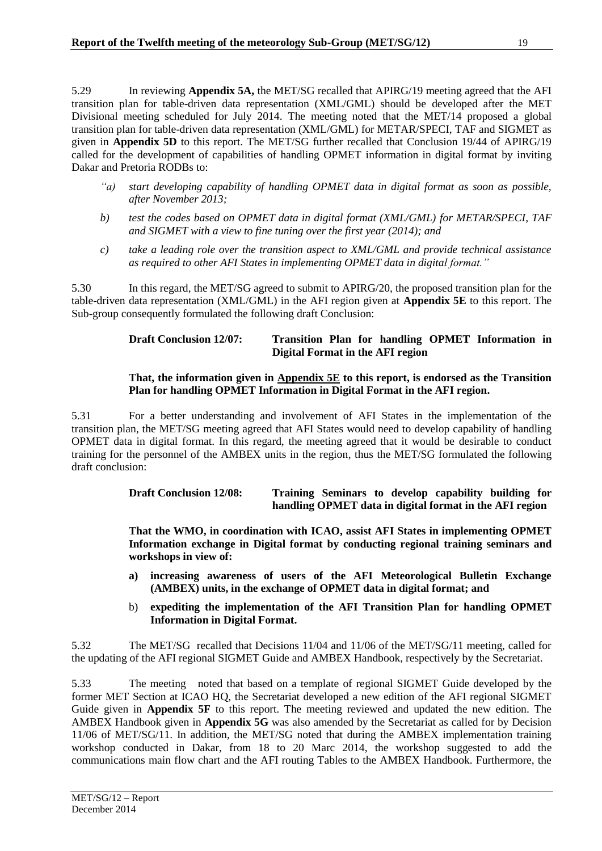5.29 In reviewing **Appendix 5A,** the MET/SG recalled that APIRG/19 meeting agreed that the AFI transition plan for table-driven data representation (XML/GML) should be developed after the MET Divisional meeting scheduled for July 2014. The meeting noted that the MET/14 proposed a global transition plan for table-driven data representation (XML/GML) for METAR/SPECI, TAF and SIGMET as given in **Appendix 5D** to this report. The MET/SG further recalled that Conclusion 19/44 of APIRG/19 called for the development of capabilities of handling OPMET information in digital format by inviting Dakar and Pretoria RODBs to:

- *"a) start developing capability of handling OPMET data in digital format as soon as possible, after November 2013;*
- *b) test the codes based on OPMET data in digital format (XML/GML) for METAR/SPECI, TAF and SIGMET with a view to fine tuning over the first year (2014); and*
- *c) take a leading role over the transition aspect to XML/GML and provide technical assistance as required to other AFI States in implementing OPMET data in digital format."*

5.30 In this regard, the MET/SG agreed to submit to APIRG/20, the proposed transition plan for the table-driven data representation (XML/GML) in the AFI region given at **Appendix 5E** to this report. The Sub-group consequently formulated the following draft Conclusion:

## **Draft Conclusion 12/07: Transition Plan for handling OPMET Information in Digital Format in the AFI region**

## **That, the information given in Appendix 5E to this report, is endorsed as the Transition Plan for handling OPMET Information in Digital Format in the AFI region.**

5.31 For a better understanding and involvement of AFI States in the implementation of the transition plan, the MET/SG meeting agreed that AFI States would need to develop capability of handling OPMET data in digital format. In this regard, the meeting agreed that it would be desirable to conduct training for the personnel of the AMBEX units in the region, thus the MET/SG formulated the following draft conclusion:

## **Draft Conclusion 12/08: Training Seminars to develop capability building for handling OPMET data in digital format in the AFI region**

**That the WMO, in coordination with ICAO, assist AFI States in implementing OPMET Information exchange in Digital format by conducting regional training seminars and workshops in view of:**

- **a) increasing awareness of users of the AFI Meteorological Bulletin Exchange (AMBEX) units, in the exchange of OPMET data in digital format; and**
- b) **expediting the implementation of the AFI Transition Plan for handling OPMET Information in Digital Format.**

5.32 The MET/SG recalled that Decisions 11/04 and 11/06 of the MET/SG/11 meeting, called for the updating of the AFI regional SIGMET Guide and AMBEX Handbook, respectively by the Secretariat.

5.33 The meeting noted that based on a template of regional SIGMET Guide developed by the former MET Section at ICAO HQ, the Secretariat developed a new edition of the AFI regional SIGMET Guide given in **Appendix 5F** to this report. The meeting reviewed and updated the new edition. The AMBEX Handbook given in **Appendix 5G** was also amended by the Secretariat as called for by Decision 11/06 of MET/SG/11. In addition, the MET/SG noted that during the AMBEX implementation training workshop conducted in Dakar, from 18 to 20 Marc 2014, the workshop suggested to add the communications main flow chart and the AFI routing Tables to the AMBEX Handbook. Furthermore, the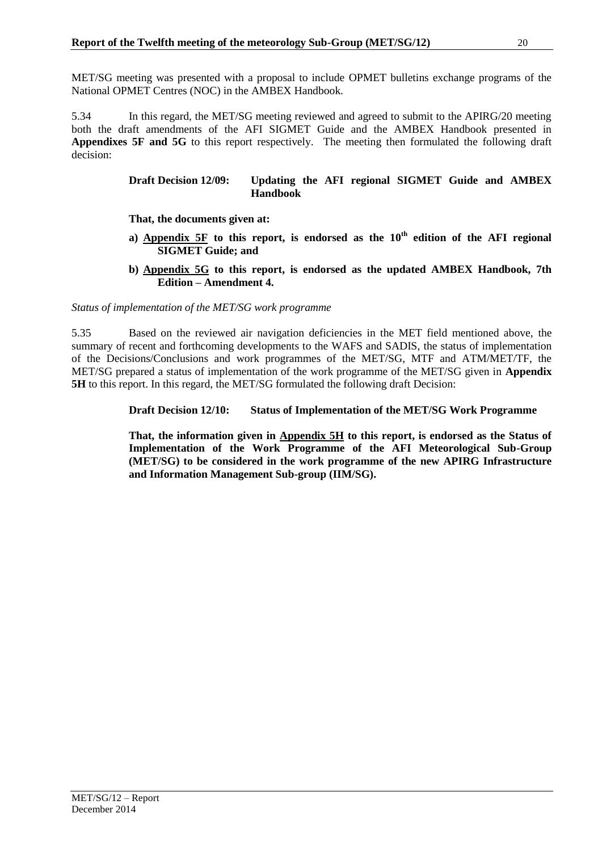MET/SG meeting was presented with a proposal to include OPMET bulletins exchange programs of the National OPMET Centres (NOC) in the AMBEX Handbook.

5.34 In this regard, the MET/SG meeting reviewed and agreed to submit to the APIRG/20 meeting both the draft amendments of the AFI SIGMET Guide and the AMBEX Handbook presented in **Appendixes 5F and 5G** to this report respectively. The meeting then formulated the following draft decision:

#### **Draft Decision 12/09: Updating the AFI regional SIGMET Guide and AMBEX Handbook**

**That, the documents given at:**

- **a) Appendix 5F to this report, is endorsed as the 10th edition of the AFI regional SIGMET Guide; and**
- **b) Appendix 5G to this report, is endorsed as the updated AMBEX Handbook, 7th Edition – Amendment 4.**

*Status of implementation of the MET/SG work programme*

5.35 Based on the reviewed air navigation deficiencies in the MET field mentioned above, the summary of recent and forthcoming developments to the WAFS and SADIS, the status of implementation of the Decisions/Conclusions and work programmes of the MET/SG, MTF and ATM/MET/TF, the MET/SG prepared a status of implementation of the work programme of the MET/SG given in **Appendix 5H** to this report. In this regard, the MET/SG formulated the following draft Decision:

**Draft Decision 12/10: Status of Implementation of the MET/SG Work Programme**

**That, the information given in Appendix 5H to this report, is endorsed as the Status of Implementation of the Work Programme of the AFI Meteorological Sub-Group (MET/SG) to be considered in the work programme of the new APIRG Infrastructure and Information Management Sub-group (IIM/SG).**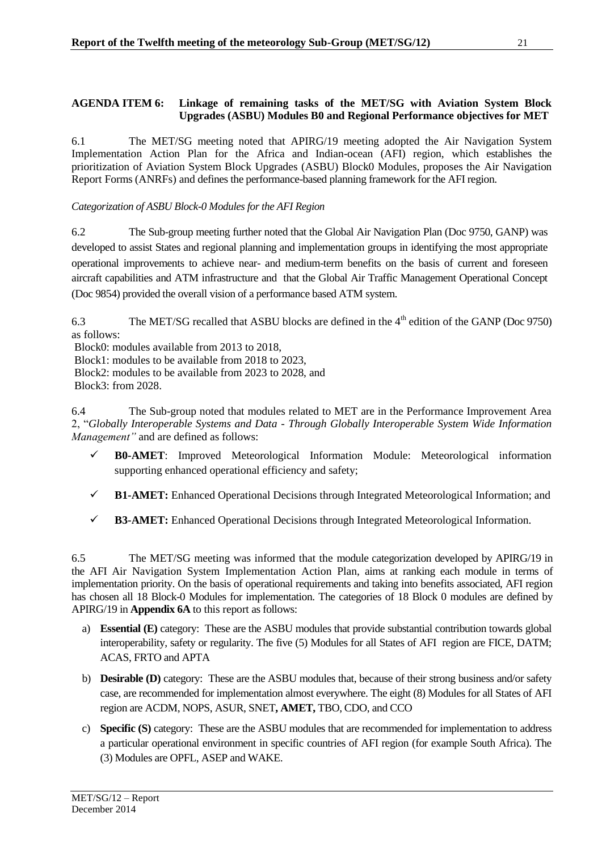### <span id="page-21-0"></span>**AGENDA ITEM 6: Linkage of remaining tasks of the MET/SG with Aviation System Block Upgrades (ASBU) Modules B0 and Regional Performance objectives for MET**

6.1 The MET/SG meeting noted that APIRG/19 meeting adopted the Air Navigation System Implementation Action Plan for the Africa and Indian-ocean (AFI) region, which establishes the prioritization of Aviation System Block Upgrades (ASBU) Block0 Modules, proposes the Air Navigation Report Forms (ANRFs) and defines the performance-based planning framework for the AFI region.

*Categorization of ASBU Block-0 Modules for the AFI Region*

6.2 The Sub-group meeting further noted that the Global Air Navigation Plan (Doc 9750, GANP) was developed to assist States and regional planning and implementation groups in identifying the most appropriate operational improvements to achieve near- and medium-term benefits on the basis of current and foreseen aircraft capabilities and ATM infrastructure and that the Global Air Traffic Management Operational Concept (Doc 9854) provided the overall vision of a performance based ATM system.

6.3 The MET/SG recalled that ASBU blocks are defined in the  $4<sup>th</sup>$  edition of the GANP (Doc 9750) as follows:

Block0: modules available from 2013 to 2018,

Block1: modules to be available from 2018 to 2023,

Block2: modules to be available from 2023 to 2028, and Block3: from 2028.

6.4 The Sub-group noted that modules related to MET are in the Performance Improvement Area 2, "*Globally Interoperable Systems and Data - Through Globally Interoperable System Wide Information Management"* and are defined as follows:

- **B0-AMET**: Improved Meteorological Information Module: Meteorological information supporting enhanced operational efficiency and safety;
- **B1-AMET:** Enhanced Operational Decisions through Integrated Meteorological Information; and
- **B3-AMET:** Enhanced Operational Decisions through Integrated Meteorological Information.

6.5 The MET/SG meeting was informed that the module categorization developed by APIRG/19 in the AFI Air Navigation System Implementation Action Plan, aims at ranking each module in terms of implementation priority. On the basis of operational requirements and taking into benefits associated, AFI region has chosen all 18 Block-0 Modules for implementation. The categories of 18 Block 0 modules are defined by APIRG/19 in **Appendix 6A** to this report as follows:

- a) **Essential (E)** category: These are the ASBU modules that provide substantial contribution towards global interoperability, safety or regularity. The five (5) Modules for all States of AFI region are FICE, DATM; ACAS, FRTO and APTA
- b) **Desirable (D)** category: These are the ASBU modules that, because of their strong business and/or safety case, are recommended for implementation almost everywhere. The eight (8) Modules for all States of AFI region are ACDM, NOPS, ASUR, SNET**, AMET,** TBO, CDO, and CCO
- c) **Specific (S)** category: These are the ASBU modules that are recommended for implementation to address a particular operational environment in specific countries of AFI region (for example South Africa). The (3) Modules are OPFL, ASEP and WAKE.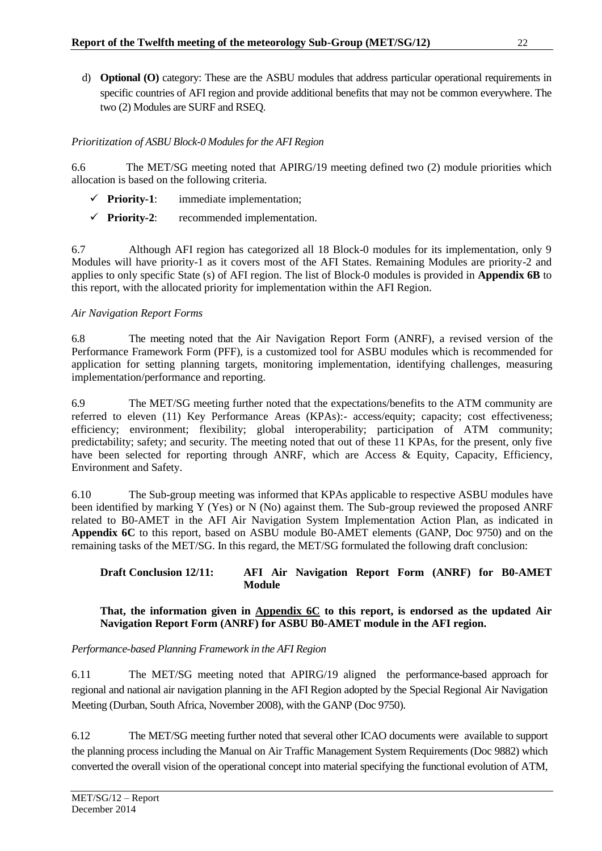d) **Optional (O)** category: These are the ASBU modules that address particular operational requirements in specific countries of AFI region and provide additional benefits that may not be common everywhere. The two (2) Modules are SURF and RSEQ.

# *Prioritization of ASBU Block-0 Modules for the AFI Region*

6.6 The MET/SG meeting noted that APIRG/19 meeting defined two (2) module priorities which allocation is based on the following criteria.

- **Priority-1**: immediate implementation;
- **Priority-2**: recommended implementation.

6.7 Although AFI region has categorized all 18 Block-0 modules for its implementation, only 9 Modules will have priority-1 as it covers most of the AFI States. Remaining Modules are priority-2 and applies to only specific State (s) of AFI region. The list of Block-0 modules is provided in **Appendix 6B** to this report, with the allocated priority for implementation within the AFI Region.

# *Air Navigation Report Forms*

6.8 The meeting noted that the Air Navigation Report Form (ANRF), a revised version of the Performance Framework Form (PFF), is a customized tool for ASBU modules which is recommended for application for setting planning targets, monitoring implementation, identifying challenges, measuring implementation/performance and reporting.

6.9 The MET/SG meeting further noted that the expectations/benefits to the ATM community are referred to eleven (11) Key Performance Areas (KPAs):- access/equity; capacity; cost effectiveness; efficiency; environment; flexibility; global interoperability; participation of ATM community; predictability; safety; and security. The meeting noted that out of these 11 KPAs, for the present, only five have been selected for reporting through ANRF, which are Access & Equity, Capacity, Efficiency, Environment and Safety.

6.10 The Sub-group meeting was informed that KPAs applicable to respective ASBU modules have been identified by marking Y (Yes) or N (No) against them. The Sub-group reviewed the proposed ANRF related to B0-AMET in the AFI Air Navigation System Implementation Action Plan, as indicated in **Appendix 6C** to this report, based on ASBU module B0-AMET elements (GANP, Doc 9750) and on the remaining tasks of the MET/SG. In this regard, the MET/SG formulated the following draft conclusion:

## **Draft Conclusion 12/11: AFI Air Navigation Report Form (ANRF) for B0-AMET Module**

## **That, the information given in Appendix 6C to this report, is endorsed as the updated Air Navigation Report Form (ANRF) for ASBU B0-AMET module in the AFI region.**

*Performance-based Planning Framework in the AFI Region*

6.11 The MET/SG meeting noted that APIRG/19 aligned the performance-based approach for regional and national air navigation planning in the AFI Region adopted by the Special Regional Air Navigation Meeting (Durban, South Africa, November 2008), with the GANP (Doc 9750).

6.12 The MET/SG meeting further noted that several other ICAO documents were available to support the planning process including the Manual on Air Traffic Management System Requirements (Doc 9882) which converted the overall vision of the operational concept into material specifying the functional evolution of ATM,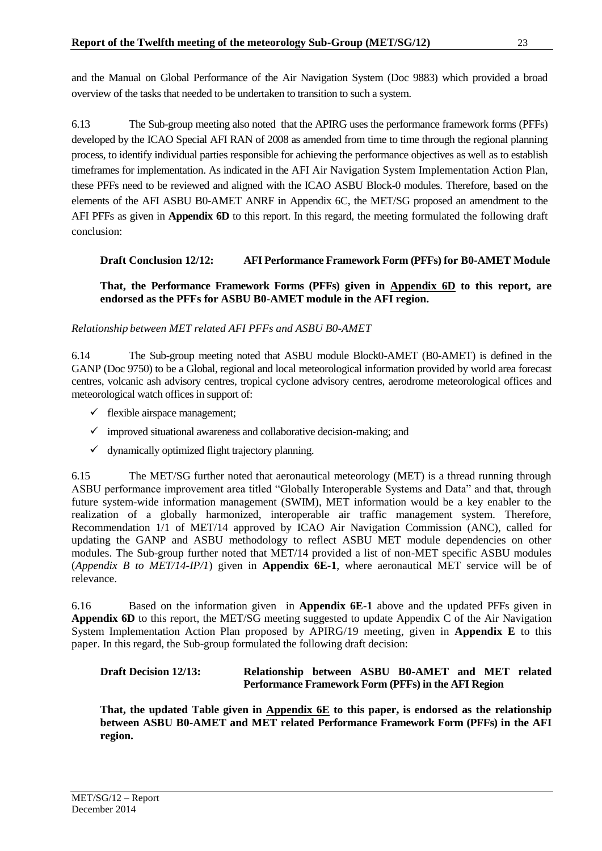and the Manual on Global Performance of the Air Navigation System (Doc 9883) which provided a broad overview of the tasks that needed to be undertaken to transition to such a system.

6.13 The Sub-group meeting also noted that the APIRG uses the performance framework forms (PFFs) developed by the ICAO Special AFI RAN of 2008 as amended from time to time through the regional planning process, to identify individual parties responsible for achieving the performance objectives as well as to establish timeframes for implementation. As indicated in the AFI Air Navigation System Implementation Action Plan, these PFFs need to be reviewed and aligned with the ICAO ASBU Block-0 modules. Therefore, based on the elements of the AFI ASBU B0-AMET ANRF in Appendix 6C, the MET/SG proposed an amendment to the AFI PFFs as given in **Appendix 6D** to this report. In this regard, the meeting formulated the following draft conclusion:

# **Draft Conclusion 12/12: AFI Performance Framework Form (PFFs) for B0-AMET Module**

**That, the Performance Framework Forms (PFFs) given in Appendix 6D to this report, are endorsed as the PFFs for ASBU B0-AMET module in the AFI region.**

# *Relationship between MET related AFI PFFs and ASBU B0-AMET*

6.14 The Sub-group meeting noted that ASBU module Block0-AMET (B0-AMET) is defined in the GANP (Doc 9750) to be a Global, regional and local meteorological information provided by world area forecast centres, volcanic ash advisory centres, tropical cyclone advisory centres, aerodrome meteorological offices and meteorological watch offices in support of:

- $\checkmark$  flexible airspace management;
- $\checkmark$  improved situational awareness and collaborative decision-making; and
- $\checkmark$  dynamically optimized flight trajectory planning.

6.15 The MET/SG further noted that aeronautical meteorology (MET) is a thread running through ASBU performance improvement area titled "Globally Interoperable Systems and Data" and that, through future system-wide information management (SWIM), MET information would be a key enabler to the realization of a globally harmonized, interoperable air traffic management system. Therefore, Recommendation 1/1 of MET/14 approved by ICAO Air Navigation Commission (ANC), called for updating the GANP and ASBU methodology to reflect ASBU MET module dependencies on other modules. The Sub-group further noted that MET/14 provided a list of non-MET specific ASBU modules (*Appendix B to MET/14-IP/1*) given in **Appendix 6E-1**, where aeronautical MET service will be of relevance.

6.16 Based on the information given in **Appendix 6E-1** above and the updated PFFs given in **Appendix 6D** to this report, the MET/SG meeting suggested to update Appendix C of the Air Navigation System Implementation Action Plan proposed by APIRG/19 meeting, given in **Appendix E** to this paper. In this regard, the Sub-group formulated the following draft decision:

## **Draft Decision 12/13: Relationship between ASBU B0-AMET and MET related Performance Framework Form (PFFs) in the AFI Region**

**That, the updated Table given in Appendix 6E to this paper, is endorsed as the relationship between ASBU B0-AMET and MET related Performance Framework Form (PFFs) in the AFI region.**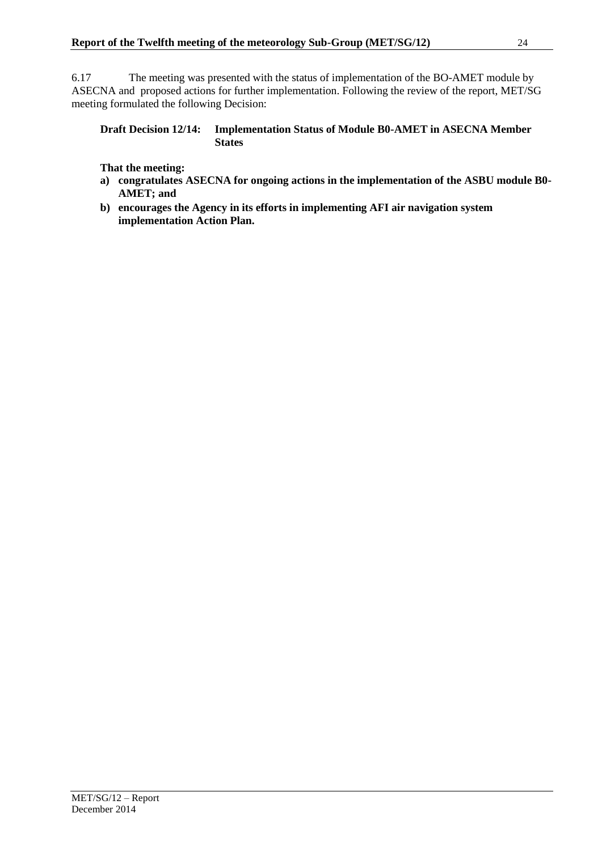6.17 The meeting was presented with the status of implementation of the BO-AMET module by ASECNA and proposed actions for further implementation. Following the review of the report, MET/SG meeting formulated the following Decision:

#### **Draft Decision 12/14: Implementation Status of Module B0-AMET in ASECNA Member States**

#### **That the meeting:**

- **a) congratulates ASECNA for ongoing actions in the implementation of the ASBU module B0- AMET; and**
- **b) encourages the Agency in its efforts in implementing AFI air navigation system implementation Action Plan.**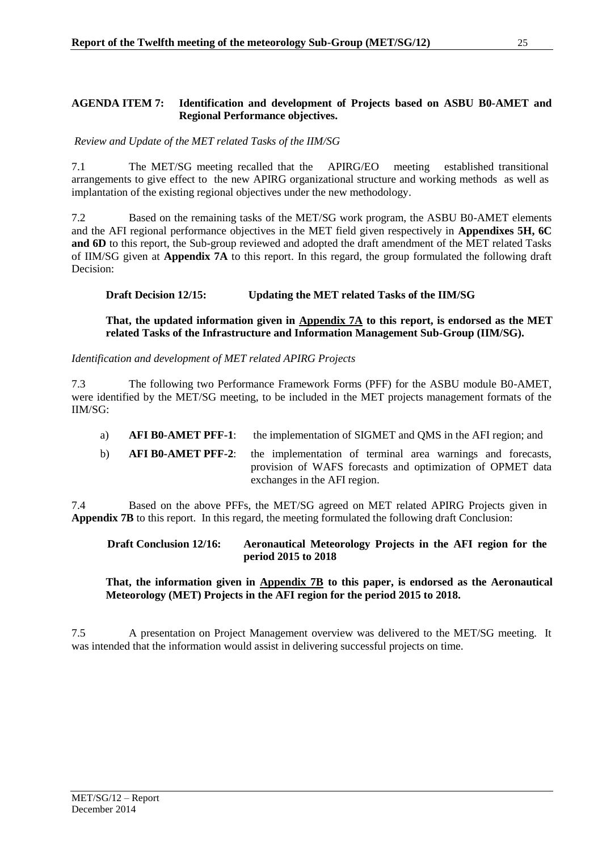## <span id="page-25-0"></span>**AGENDA ITEM 7: Identification and development of Projects based on ASBU B0-AMET and Regional Performance objectives.**

*Review and Update of the MET related Tasks of the IIM/SG*

7.1 The MET/SG meeting recalled that the APIRG/EO meeting established transitional arrangements to give effect to the new APIRG organizational structure and working methods as well as implantation of the existing regional objectives under the new methodology.

7.2 Based on the remaining tasks of the MET/SG work program, the ASBU B0-AMET elements and the AFI regional performance objectives in the MET field given respectively in **Appendixes 5H, 6C and 6D** to this report, the Sub-group reviewed and adopted the draft amendment of the MET related Tasks of IIM/SG given at **Appendix 7A** to this report. In this regard, the group formulated the following draft Decision:

**Draft Decision 12/15: Updating the MET related Tasks of the IIM/SG**

#### **That, the updated information given in Appendix 7A to this report, is endorsed as the MET related Tasks of the Infrastructure and Information Management Sub-Group (IIM/SG).**

*Identification and development of MET related APIRG Projects*

7.3 The following two Performance Framework Forms (PFF) for the ASBU module B0-AMET, were identified by the MET/SG meeting, to be included in the MET projects management formats of the IIM/SG:

- a) **AFI B0-AMET PFF-1**: the implementation of SIGMET and QMS in the AFI region; and
- b) **AFI B0-AMET PFF-2**: the implementation of terminal area warnings and forecasts, provision of WAFS forecasts and optimization of OPMET data exchanges in the AFI region.

7.4 Based on the above PFFs, the MET/SG agreed on MET related APIRG Projects given in **Appendix 7B** to this report. In this regard, the meeting formulated the following draft Conclusion:

**Draft Conclusion 12/16: Aeronautical Meteorology Projects in the AFI region for the period 2015 to 2018**

**That, the information given in Appendix 7B to this paper, is endorsed as the Aeronautical Meteorology (MET) Projects in the AFI region for the period 2015 to 2018.**

7.5 A presentation on Project Management overview was delivered to the MET/SG meeting. It was intended that the information would assist in delivering successful projects on time.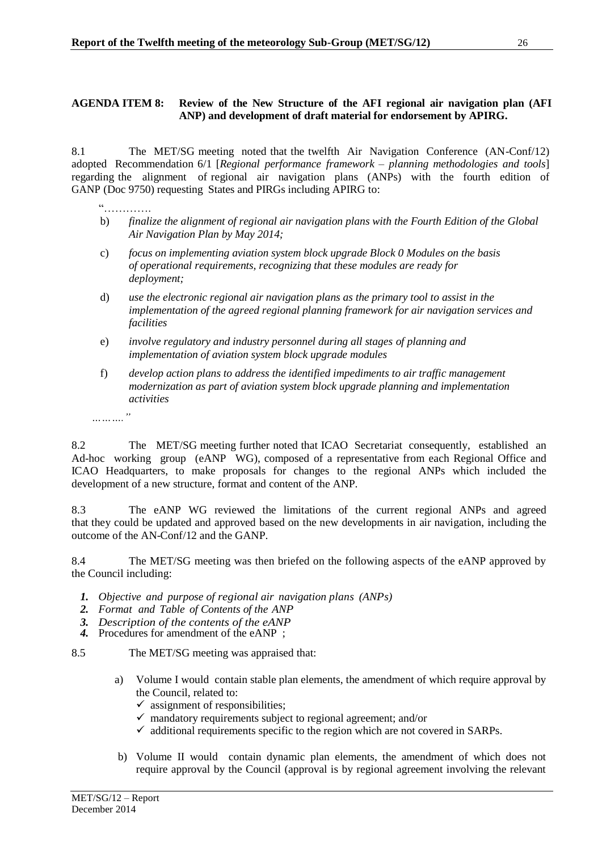## <span id="page-26-0"></span>**AGENDA ITEM 8: Review of the New Structure of the AFI regional air navigation plan (AFI ANP) and development of draft material for endorsement by APIRG.**

8.1 The MET/SG meeting noted that the twelfth Air Navigation Conference (AN-Conf/12) adopted Recommendation 6/1 [*Regional performance framework – planning methodologies and tools*] regarding the alignment of regional air navigation plans (ANPs) with the fourth edition of GANP (Doc 9750) requesting States and PIRGs including APIRG to:

- "…………. b) *finalize the alignment of regional air navigation plans with the Fourth Edition of the Global Air Navigation Plan by May 2014;*
- c) *focus on implementing aviation system block upgrade Block 0 Modules on the basis of operational requirements, recognizing that these modules are ready for deployment;*
- d) *use the electronic regional air navigation plans as the primary tool to assist in the implementation of the agreed regional planning framework for air navigation services and facilities*
- e) *involve regulatory and industry personnel during all stages of planning and implementation of aviation system block upgrade modules*
- f) *develop action plans to address the identified impediments to air traffic management modernization as part of aviation system block upgrade planning and implementation activities*
- *………."*

8.2 The MET/SG meeting further noted that ICAO Secretariat consequently, established an Ad-hoc working group (eANP WG), composed of a representative from each Regional Office and ICAO Headquarters, to make proposals for changes to the regional ANPs which included the development of a new structure, format and content of the ANP.

8.3 The eANP WG reviewed the limitations of the current regional ANPs and agreed that they could be updated and approved based on the new developments in air navigation, including the outcome of the AN-Conf/12 and the GANP.

8.4 The MET/SG meeting was then briefed on the following aspects of the eANP approved by the Council including:

- *1. Objective and purpose of regional air navigation plans (ANPs)*
- *2. Format and Table of Contents of the ANP*
- *3. Description of the contents of the eANP*
- *4.* Procedures for amendment of the eANP ;

8.5 The MET/SG meeting was appraised that:

- a) Volume I would contain stable plan elements, the amendment of which require approval by the Council, related to:
	- $\checkmark$  assignment of responsibilities;
	- $\checkmark$  mandatory requirements subject to regional agreement; and/or
	- $\checkmark$  additional requirements specific to the region which are not covered in SARPs.
- b) Volume II would contain dynamic plan elements, the amendment of which does not require approval by the Council (approval is by regional agreement involving the relevant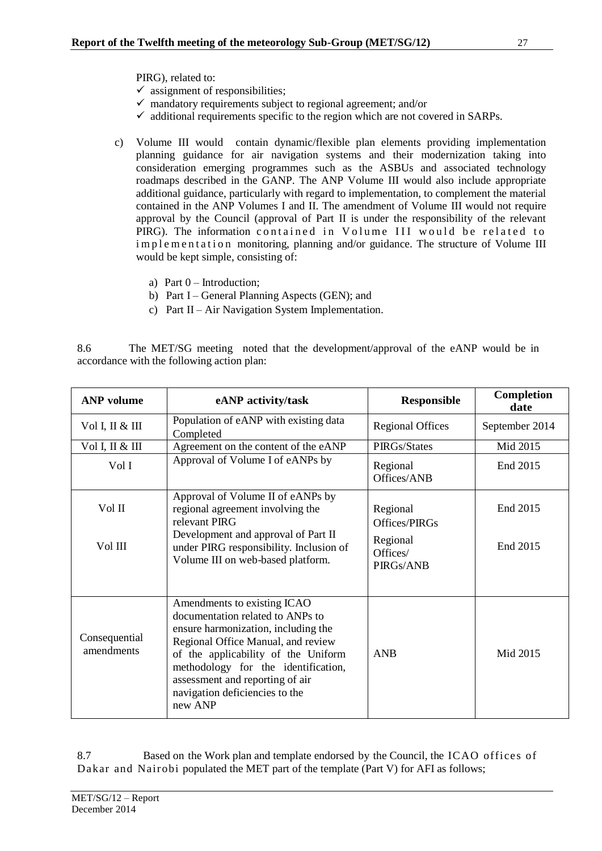PIRG), related to:

- $\checkmark$  assignment of responsibilities;
- $\checkmark$  mandatory requirements subject to regional agreement; and/or
- $\checkmark$  additional requirements specific to the region which are not covered in SARPs.
- c) Volume III would contain dynamic/flexible plan elements providing implementation planning guidance for air navigation systems and their modernization taking into consideration emerging programmes such as the ASBUs and associated technology roadmaps described in the GANP. The ANP Volume III would also include appropriate additional guidance, particularly with regard to implementation, to complement the material contained in the ANP Volumes I and II. The amendment of Volume III would not require approval by the Council (approval of Part II is under the responsibility of the relevant PIRG). The information contained in Volume III would be related to implementation monitoring, planning and/or guidance. The structure of Volume III would be kept simple, consisting of:
	- a) Part  $0$  Introduction:
	- b) Part I General Planning Aspects (GEN); and
	- c) Part II Air Navigation System Implementation.

8.6 The MET/SG meeting noted that the development/approval of the eANP would be in accordance with the following action plan:

| <b>ANP</b> volume           | eANP activity/task                                                                                                                                                                                                                                                                                         | <b>Responsible</b>                | Completion<br>date |
|-----------------------------|------------------------------------------------------------------------------------------------------------------------------------------------------------------------------------------------------------------------------------------------------------------------------------------------------------|-----------------------------------|--------------------|
| Vol I, II & III             | Population of eANP with existing data<br>Completed                                                                                                                                                                                                                                                         | <b>Regional Offices</b>           | September 2014     |
| Vol I, II & III             | Agreement on the content of the eANP                                                                                                                                                                                                                                                                       | PIRGs/States                      | Mid 2015           |
| Vol I                       | Approval of Volume I of eANPs by                                                                                                                                                                                                                                                                           | Regional<br>Offices/ANB           | End 2015           |
| Vol II                      | Approval of Volume II of eANPs by<br>regional agreement involving the<br>relevant PIRG                                                                                                                                                                                                                     | Regional<br>Offices/PIRGs         | End 2015           |
| Vol III                     | Development and approval of Part II<br>under PIRG responsibility. Inclusion of<br>Volume III on web-based platform.                                                                                                                                                                                        | Regional<br>Offices/<br>PIRGs/ANB | End 2015           |
| Consequential<br>amendments | Amendments to existing ICAO<br>documentation related to ANPs to<br>ensure harmonization, including the<br>Regional Office Manual, and review<br>of the applicability of the Uniform<br>methodology for the identification,<br>assessment and reporting of air<br>navigation deficiencies to the<br>new ANP | <b>ANB</b>                        | Mid 2015           |

8.7 Based on the Work plan and template endorsed by the Council, the ICAO offices of Dakar and Nairobi populated the MET part of the template (Part V) for AFI as follows;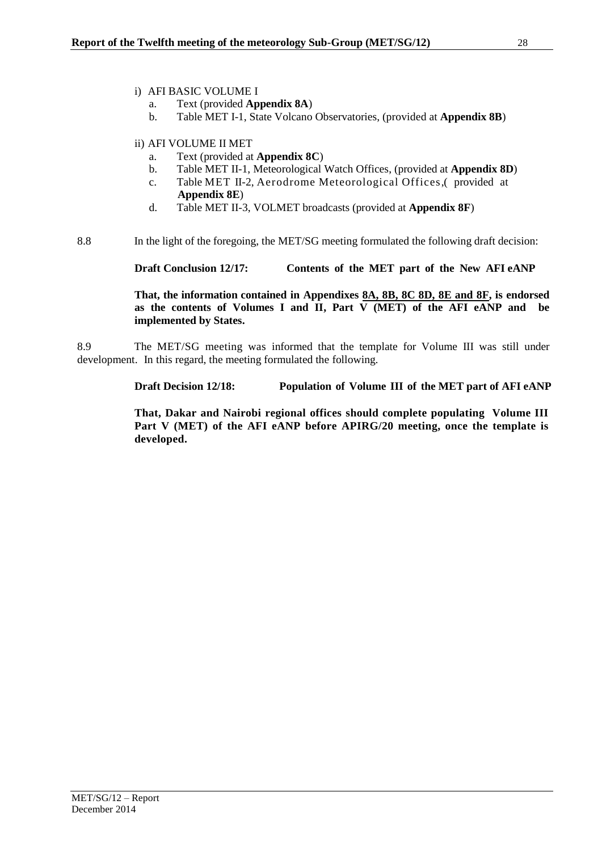- i) AFI BASIC VOLUME I
	- a. Text (provided **Appendix 8A**)
	- b. Table MET I-1, State Volcano Observatories, (provided at **Appendix 8B**)
- ii) AFI VOLUME II MET
	- a. Text (provided at **Appendix 8C**)
	- b. Table MET II-1, Meteorological Watch Offices, (provided at **Appendix 8D**)
	- c. Table MET II-2, Aerodrome Meteorological Offices,( provided at **Appendix 8E**)
	- d. Table MET II-3, VOLMET broadcasts (provided at **Appendix 8F**)

8.8 In the light of the foregoing, the MET/SG meeting formulated the following draft decision:

**Draft Conclusion 12/17: Contents of the MET part of the New AFI eANP**

**That, the information contained in Appendixes 8A, 8B, 8C 8D, 8E and 8F, is endorsed as the contents of Volumes I and II, Part V (MET) of the AFI eANP and be implemented by States.**

8.9 The MET/SG meeting was informed that the template for Volume III was still under development. In this regard, the meeting formulated the following.

**Draft Decision 12/18: Population of Volume III of the MET part of AFI eANP**

**That, Dakar and Nairobi regional offices should complete populating Volume III Part V (MET) of the AFI eANP before APIRG/20 meeting, once the template is developed.**